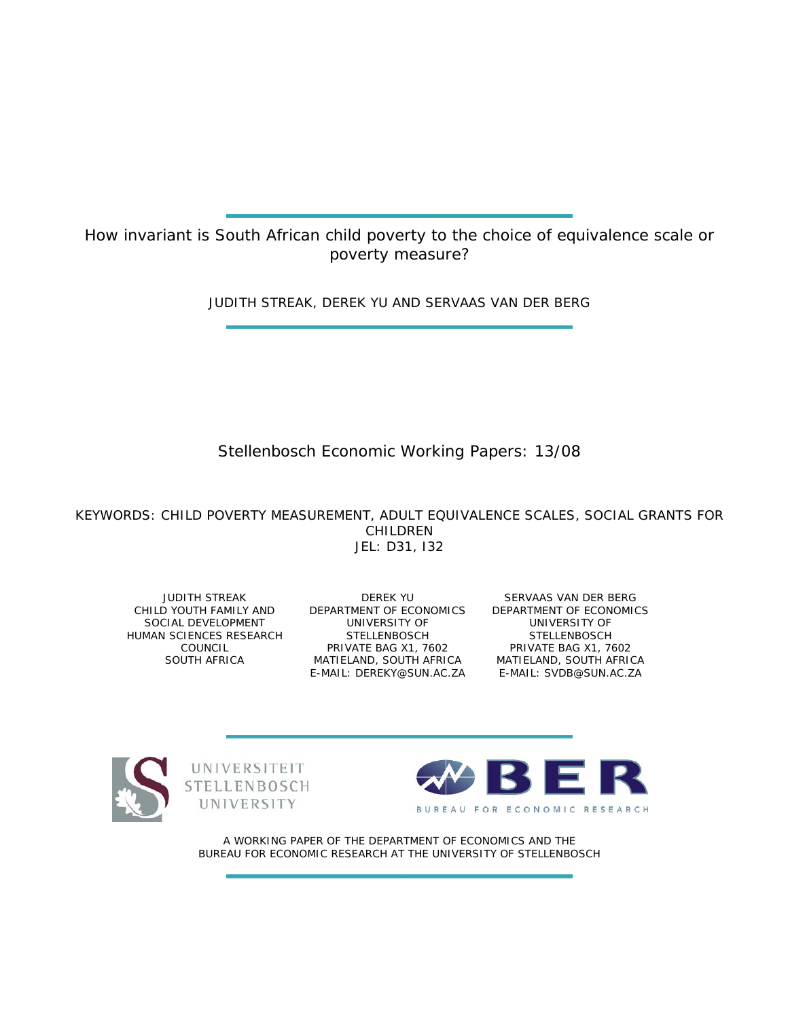How invariant is South African child poverty to the choice of equivalence scale or poverty measure?

JUDITH STREAK, DEREK YU AND SERVAAS VAN DER BERG

# Stellenbosch Economic Working Papers: 13/08

KEYWORDS: CHILD POVERTY MEASUREMENT, ADULT EQUIVALENCE SCALES, SOCIAL GRANTS FOR CHILDREN JEL: D31, I32

JUDITH STREAK SOCIAL DEVELOPMENT HUMAN SCIENCES RESEARCH COUNCIL SOUTH AFRICA

CHILD YOUTH FAMILY AND DEPARTMENT OF ECONOMICS DEPARTMENT OF ECONOMICS DEREK YU UNIVERSITY OF STELLENBOSCH PRIVATE BAG X1, 7602 MATIELAND, SOUTH AFRICA E-MAIL: DEREKY@SUN.AC.ZA

SERVAAS VAN DER BERG UNIVERSITY OF STELLENBOSCH PRIVATE BAG X1, 7602 MATIELAND, SOUTH AFRICA E-MAIL: SVDB@SUN.AC.ZA







A WORKING PAPER OF THE DEPARTMENT OF ECONOMICS AND THE BUREAU FOR ECONOMIC RESEARCH AT THE UNIVERSITY OF STELLENBOSCH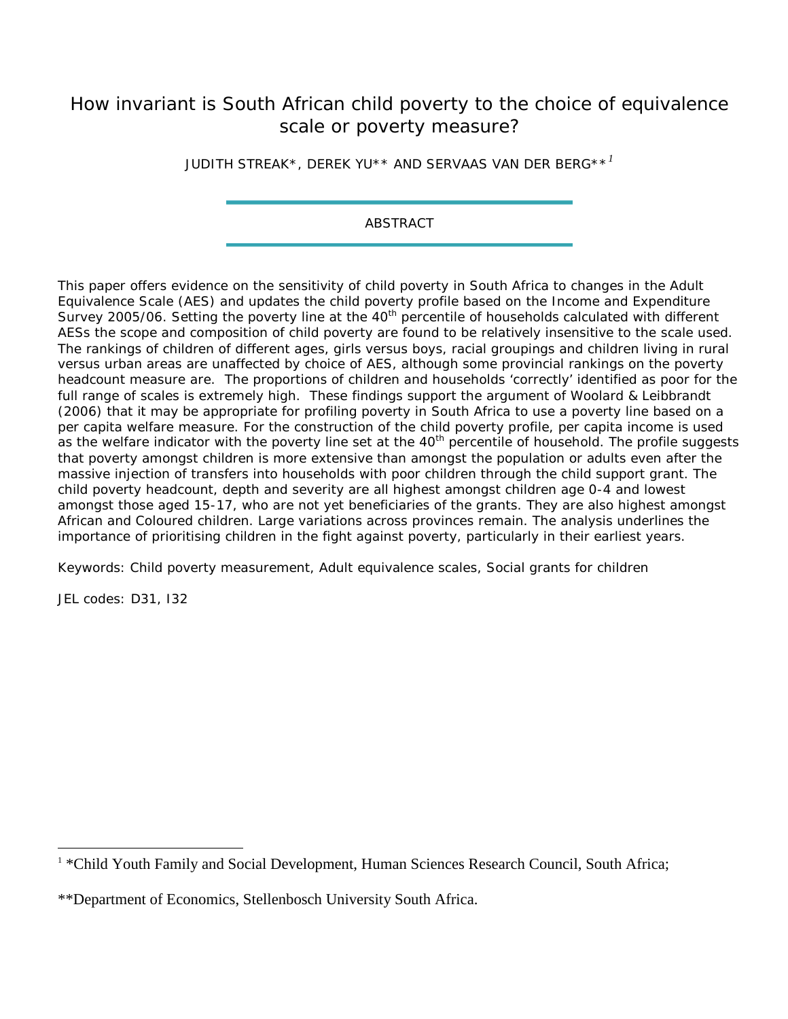# How invariant is South African child poverty to the choice of equivalence scale or poverty measure?

JUDITH STREAK\*, DEREK YU\*\* AND SERVAAS VAN DER BERG\*\**[1](#page-1-0)*

ABSTRACT

This paper offers evidence on the sensitivity of child poverty in South Africa to changes in the Adult Equivalence Scale (AES) and updates the child poverty profile based on the Income and Expenditure Survey 2005/06. Setting the poverty line at the 40<sup>th</sup> percentile of households calculated with different AESs the scope and composition of child poverty are found to be relatively insensitive to the scale used. The rankings of children of different ages, girls versus boys, racial groupings and children living in rural versus urban areas are unaffected by choice of AES, although some provincial rankings on the poverty headcount measure *are.* The proportions of children and households 'correctly' identified as poor for the full range of scales is extremely high. These findings support the argument of Woolard & Leibbrandt (2006) that it may be appropriate for profiling poverty in South Africa to use a poverty line based on a *per capita* welfare measure. For the construction of the child poverty profile, per capita income is used as the welfare indicator with the poverty line set at the 40<sup>th</sup> percentile of household. The profile suggests that poverty amongst children is more extensive than amongst the population or adults even after the massive injection of transfers into households with poor children through the child support grant. The child poverty headcount, depth and severity are all highest amongst children age 0-4 and lowest amongst those aged 15-17, who are not yet beneficiaries of the grants. They are also highest amongst African and Coloured children. Large variations across provinces remain. The analysis underlines the importance of prioritising *children* in the fight against poverty, particularly in their earliest years.

Keywords: Child poverty measurement, Adult equivalence scales, Social grants for children

JEL codes: D31, I32

<span id="page-1-0"></span><sup>&</sup>lt;sup>1</sup> \*Child Youth Family and Social Development, Human Sciences Research Council, South Africa;

<sup>\*\*</sup>Department of Economics, Stellenbosch University South Africa.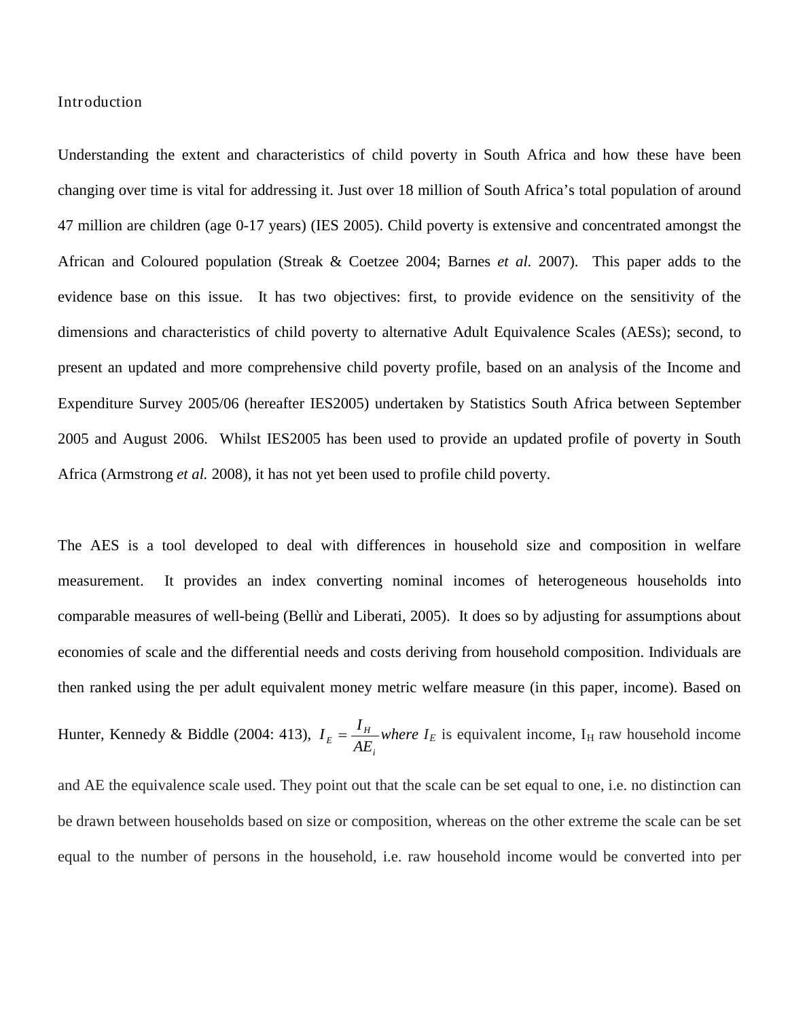## Introduction

Understanding the extent and characteristics of child poverty in South Africa and how these have been changing over time is vital for addressing it. Just over 18 million of South Africa's total population of around 47 million are children (age 0-17 years) (IES 2005). Child poverty is extensive and concentrated amongst the African and Coloured population (Streak & Coetzee 2004; Barnes *et al.* 2007). This paper adds to the evidence base on this issue. It has two objectives: first, to provide evidence on the sensitivity of the dimensions and characteristics of child poverty to alternative Adult Equivalence Scales (AESs); second, to present an updated and more comprehensive child poverty profile, based on an analysis of the Income and Expenditure Survey 2005/06 (hereafter IES2005) undertaken by Statistics South Africa between September 2005 and August 2006. Whilst IES2005 has been used to provide an updated profile of poverty in South Africa (Armstrong *et al.* 2008), it has not yet been used to profile child poverty.

The AES is a tool developed to deal with differences in household size and composition in welfare measurement. It provides an index converting nominal incomes of heterogeneous households into comparable measures of well-being (Bellừ and Liberati, 2005). It does so by adjusting for assumptions about economies of scale and the differential needs and costs deriving from household composition. Individuals are then ranked using the per adult equivalent money metric welfare measure (in this paper, income). Based on Hunter, Kennedy & Biddle (2004: 413), *i*  $E = \frac{I_H}{AE}$  $I_E = \frac{I_H}{I_E}$  where  $I_E$  is equivalent income,  $I_H$  raw household income and AE the equivalence scale used. They point out that the scale can be set equal to one, i.e. no distinction can be drawn between households based on size or composition, whereas on the other extreme the scale can be set equal to the number of persons in the household, i.e. raw household income would be converted into per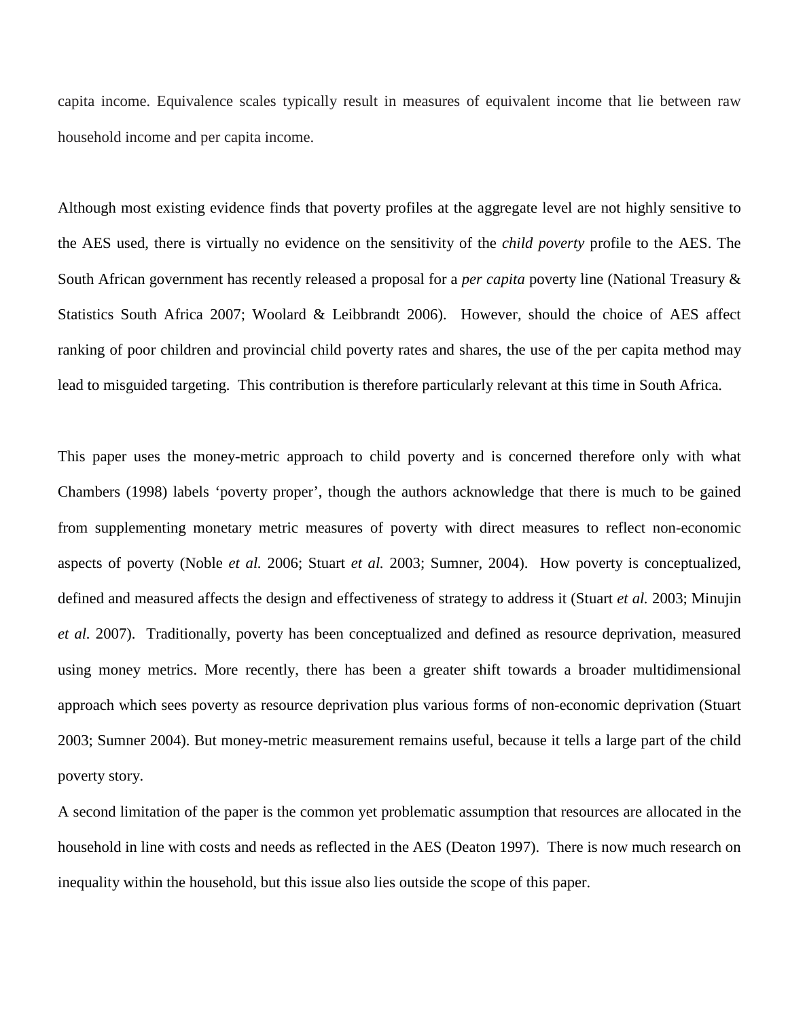capita income. Equivalence scales typically result in measures of equivalent income that lie between raw household income and per capita income.

Although most existing evidence finds that poverty profiles at the aggregate level are not highly sensitive to the AES used, there is virtually no evidence on the sensitivity of the *child poverty* profile to the AES. The South African government has recently released a proposal for a *per capita* poverty line (National Treasury & Statistics South Africa 2007; Woolard & Leibbrandt 2006). However, should the choice of AES affect ranking of poor children and provincial child poverty rates and shares, the use of the per capita method may lead to misguided targeting. This contribution is therefore particularly relevant at this time in South Africa.

This paper uses the money-metric approach to child poverty and is concerned therefore only with what Chambers (1998) labels 'poverty proper', though the authors acknowledge that there is much to be gained from supplementing monetary metric measures of poverty with direct measures to reflect non-economic aspects of poverty (Noble *et al.* 2006; Stuart *et al.* 2003; Sumner, 2004). How poverty is conceptualized, defined and measured affects the design and effectiveness of strategy to address it (Stuart *et al.* 2003; Minujin *et al.* 2007). Traditionally, poverty has been conceptualized and defined as resource deprivation, measured using money metrics. More recently, there has been a greater shift towards a broader multidimensional approach which sees poverty as resource deprivation plus various forms of non-economic deprivation (Stuart 2003; Sumner 2004). But money-metric measurement remains useful, because it tells a large part of the child poverty story.

A second limitation of the paper is the common yet problematic assumption that resources are allocated in the household in line with costs and needs as reflected in the AES (Deaton 1997). There is now much research on inequality within the household, but this issue also lies outside the scope of this paper.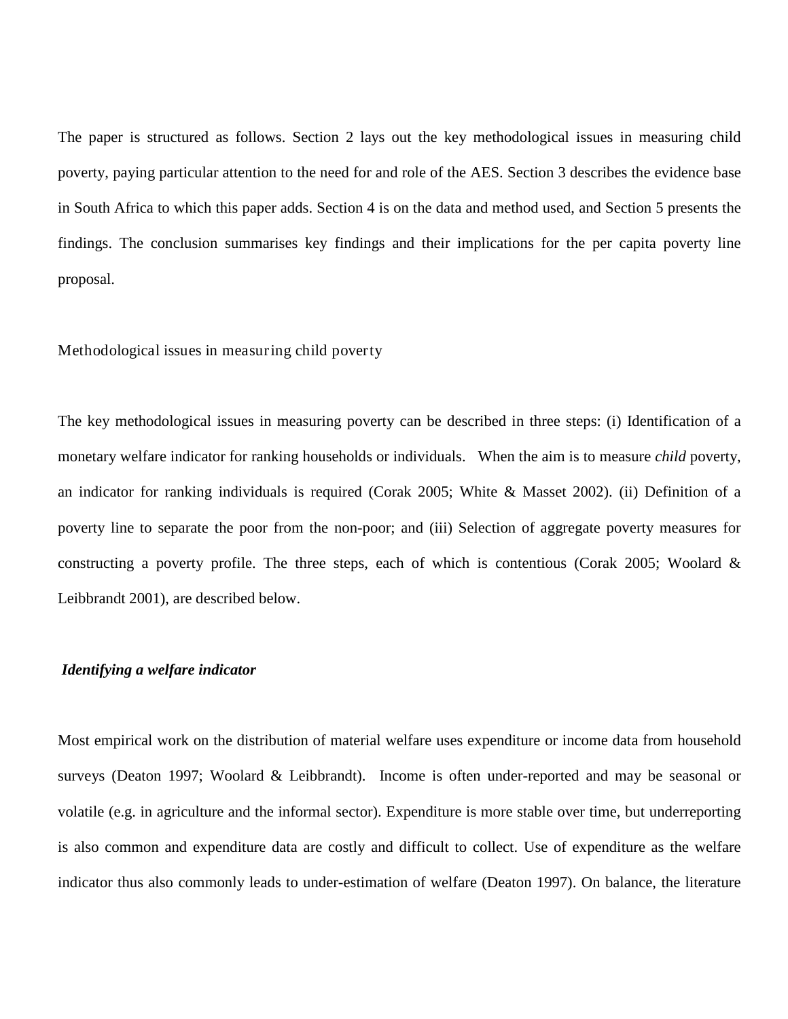The paper is structured as follows. Section 2 lays out the key methodological issues in measuring child poverty, paying particular attention to the need for and role of the AES. Section 3 describes the evidence base in South Africa to which this paper adds. Section 4 is on the data and method used, and Section 5 presents the findings. The conclusion summarises key findings and their implications for the per capita poverty line proposal.

# Methodological issues in measuring child poverty

The key methodological issues in measuring poverty can be described in three steps: (i) Identification of a monetary welfare indicator for ranking households or individuals. When the aim is to measure *child* poverty, an indicator for ranking individuals is required (Corak 2005; White & Masset 2002). (ii) Definition of a poverty line to separate the poor from the non-poor; and (iii) Selection of aggregate poverty measures for constructing a poverty profile. The three steps, each of which is contentious (Corak 2005; Woolard & Leibbrandt 2001), are described below.

# *Identifying a welfare indicator*

Most empirical work on the distribution of material welfare uses expenditure or income data from household surveys (Deaton 1997; Woolard & Leibbrandt). Income is often under-reported and may be seasonal or volatile (e.g. in agriculture and the informal sector). Expenditure is more stable over time, but underreporting is also common and expenditure data are costly and difficult to collect. Use of expenditure as the welfare indicator thus also commonly leads to under-estimation of welfare (Deaton 1997). On balance, the literature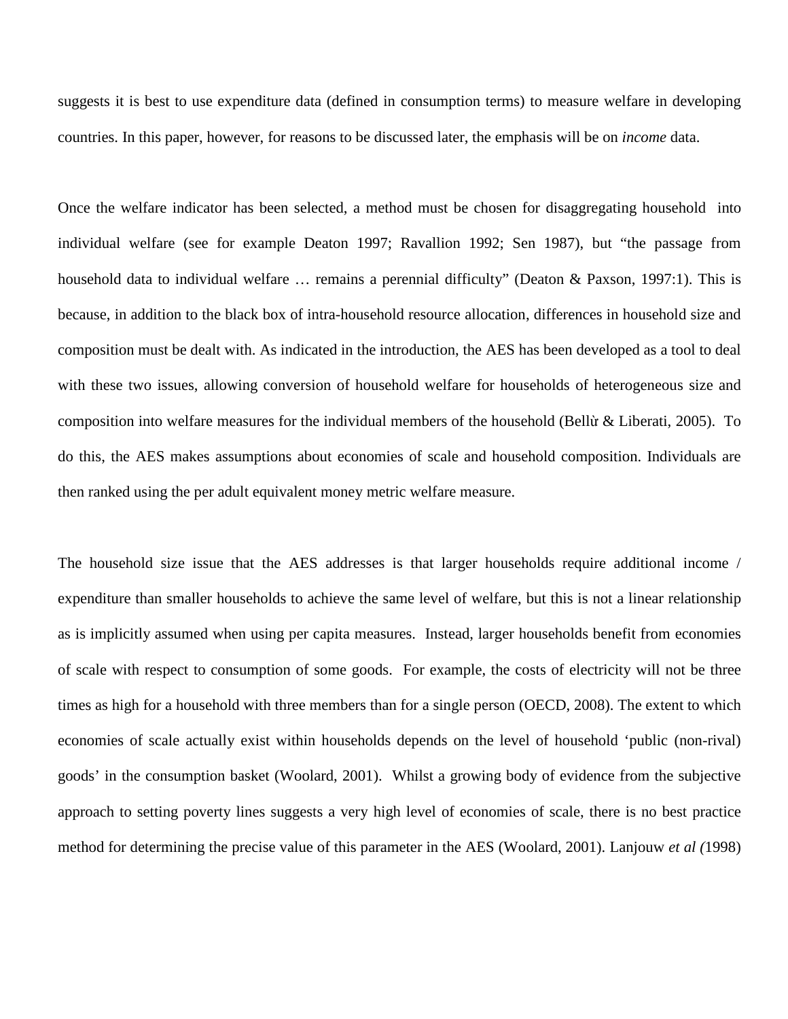suggests it is best to use expenditure data (defined in consumption terms) to measure welfare in developing countries. In this paper, however, for reasons to be discussed later, the emphasis will be on *income* data.

Once the welfare indicator has been selected, a method must be chosen for disaggregating household into individual welfare (see for example Deaton 1997; Ravallion 1992; Sen 1987), but "the passage from household data to individual welfare ... remains a perennial difficulty" (Deaton & Paxson, 1997:1). This is because, in addition to the black box of intra-household resource allocation, differences in household size and composition must be dealt with. As indicated in the introduction, the AES has been developed as a tool to deal with these two issues, allowing conversion of household welfare for households of heterogeneous size and composition into welfare measures for the individual members of the household (Bellừ & Liberati, 2005). To do this, the AES makes assumptions about economies of scale and household composition. Individuals are then ranked using the per adult equivalent money metric welfare measure.

The household size issue that the AES addresses is that larger households require additional income / expenditure than smaller households to achieve the same level of welfare, but this is not a linear relationship as is implicitly assumed when using per capita measures. Instead, larger households benefit from economies of scale with respect to consumption of some goods. For example, the costs of electricity will not be three times as high for a household with three members than for a single person (OECD, 2008). The extent to which economies of scale actually exist within households depends on the level of household 'public (non-rival) goods' in the consumption basket (Woolard, 2001). Whilst a growing body of evidence from the subjective approach to setting poverty lines suggests a very high level of economies of scale, there is no best practice method for determining the precise value of this parameter in the AES (Woolard, 2001). Lanjouw *et al (*1998)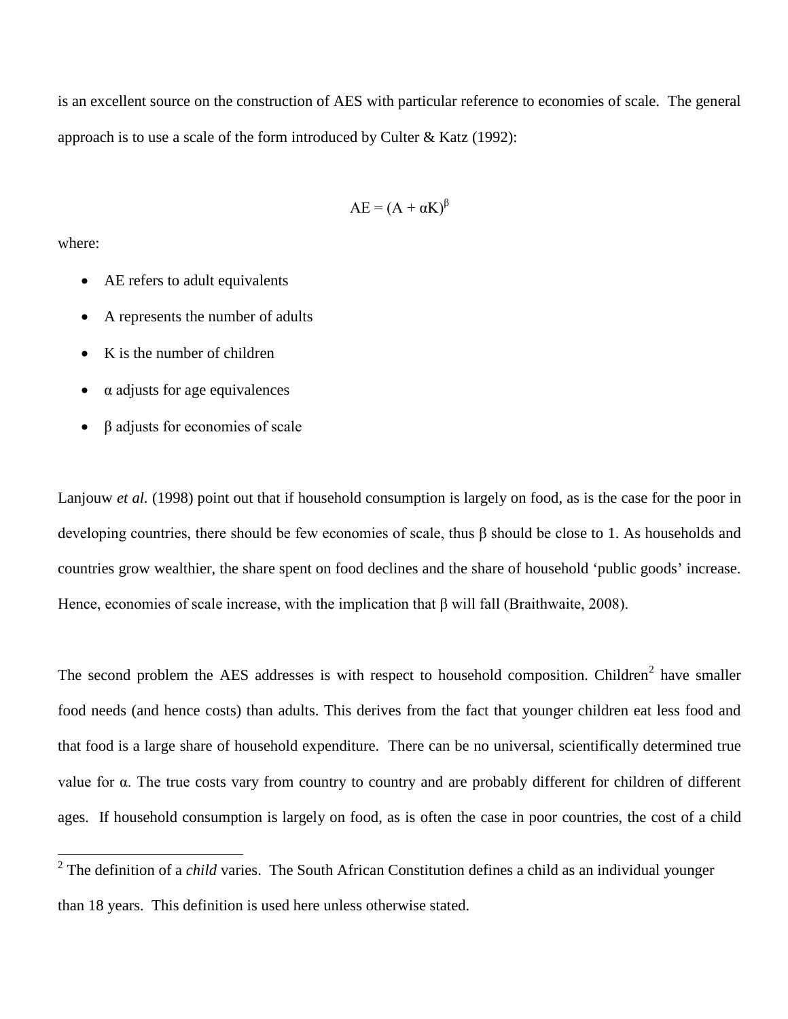is an excellent source on the construction of AES with particular reference to economies of scale. The general approach is to use a scale of the form introduced by Culter & Katz (1992):

$$
AE = (A + \alpha K)^{\beta}
$$

where:

- AE refers to adult equivalents
- A represents the number of adults
- K is the number of children
- $\alpha$  adjusts for age equivalences
- β adjusts for economies of scale

Lanjouw *et al.* (1998) point out that if household consumption is largely on food, as is the case for the poor in developing countries, there should be few economies of scale, thus β should be close to 1. As households and countries grow wealthier, the share spent on food declines and the share of household 'public goods' increase. Hence, economies of scale increase, with the implication that β will fall (Braithwaite, 2008).

The second problem the AES addresses is with respect to household composition. Children<sup>[2](#page-6-0)</sup> have smaller food needs (and hence costs) than adults. This derives from the fact that younger children eat less food and that food is a large share of household expenditure. There can be no universal, scientifically determined true value for α. The true costs vary from country to country and are probably different for children of different ages. If household consumption is largely on food, as is often the case in poor countries, the cost of a child

<span id="page-6-0"></span><sup>&</sup>lt;sup>2</sup> The definition of a *child* varies. The South African Constitution defines a child as an individual younger than 18 years. This definition is used here unless otherwise stated.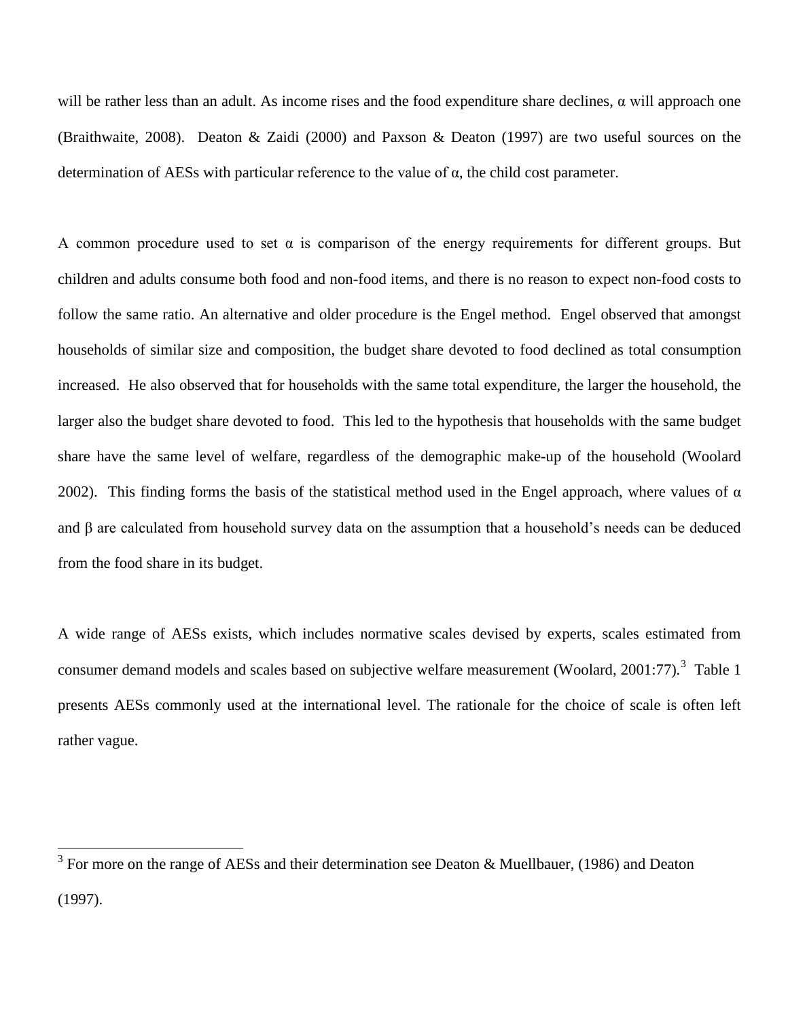will be rather less than an adult. As income rises and the food expenditure share declines,  $\alpha$  will approach one (Braithwaite, 2008). Deaton & Zaidi (2000) and Paxson & Deaton (1997) are two useful sources on the determination of AESs with particular reference to the value of α, the child cost parameter.

A common procedure used to set  $\alpha$  is comparison of the energy requirements for different groups. But children and adults consume both food and non-food items, and there is no reason to expect non-food costs to follow the same ratio. An alternative and older procedure is the Engel method. Engel observed that amongst households of similar size and composition, the budget share devoted to food declined as total consumption increased. He also observed that for households with the same total expenditure, the larger the household, the larger also the budget share devoted to food. This led to the hypothesis that households with the same budget share have the same level of welfare, regardless of the demographic make-up of the household (Woolard 2002). This finding forms the basis of the statistical method used in the Engel approach, where values of  $\alpha$ and β are calculated from household survey data on the assumption that a household's needs can be deduced from the food share in its budget.

A wide range of AESs exists, which includes normative scales devised by experts, scales estimated from consumer demand models and scales based on subjective welfare measurement (Woolard, 2001:77).<sup>[3](#page-7-0)</sup> Table 1 presents AESs commonly used at the international level. The rationale for the choice of scale is often left rather vague.

<span id="page-7-0"></span> $3$  For more on the range of AESs and their determination see Deaton & Muellbauer, (1986) and Deaton (1997).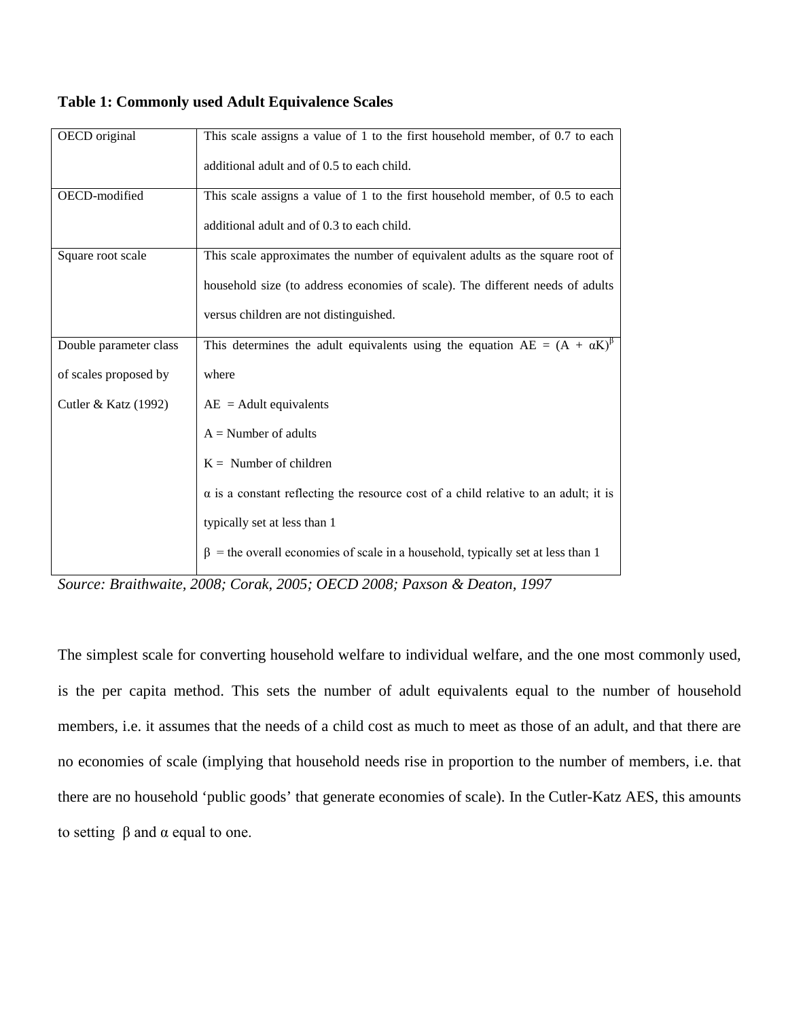| OECD original          | This scale assigns a value of 1 to the first household member, of 0.7 to each              |
|------------------------|--------------------------------------------------------------------------------------------|
|                        | additional adult and of 0.5 to each child.                                                 |
| OECD-modified          | This scale assigns a value of 1 to the first household member, of 0.5 to each              |
|                        | additional adult and of 0.3 to each child.                                                 |
| Square root scale      | This scale approximates the number of equivalent adults as the square root of              |
|                        | household size (to address economies of scale). The different needs of adults              |
|                        | versus children are not distinguished.                                                     |
| Double parameter class | This determines the adult equivalents using the equation $AE = (A + \alpha K)^{\beta}$     |
| of scales proposed by  | where                                                                                      |
| Cutler & Katz (1992)   | $AE =$ Adult equivalents                                                                   |
|                        | $A =$ Number of adults                                                                     |
|                        | $K =$ Number of children                                                                   |
|                        | $\alpha$ is a constant reflecting the resource cost of a child relative to an adult; it is |
|                        | typically set at less than 1                                                               |
|                        | $\beta$ = the overall economies of scale in a household, typically set at less than 1      |

### **Table 1: Commonly used Adult Equivalence Scales**

*Source: Braithwaite, 2008; Corak, 2005; OECD 2008; Paxson & Deaton, 1997*

The simplest scale for converting household welfare to individual welfare, and the one most commonly used, is the per capita method. This sets the number of adult equivalents equal to the number of household members, i.e. it assumes that the needs of a child cost as much to meet as those of an adult, and that there are no economies of scale (implying that household needs rise in proportion to the number of members, i.e. that there are no household 'public goods' that generate economies of scale). In the Cutler-Katz AES, this amounts to setting  $β$  and  $α$  equal to one.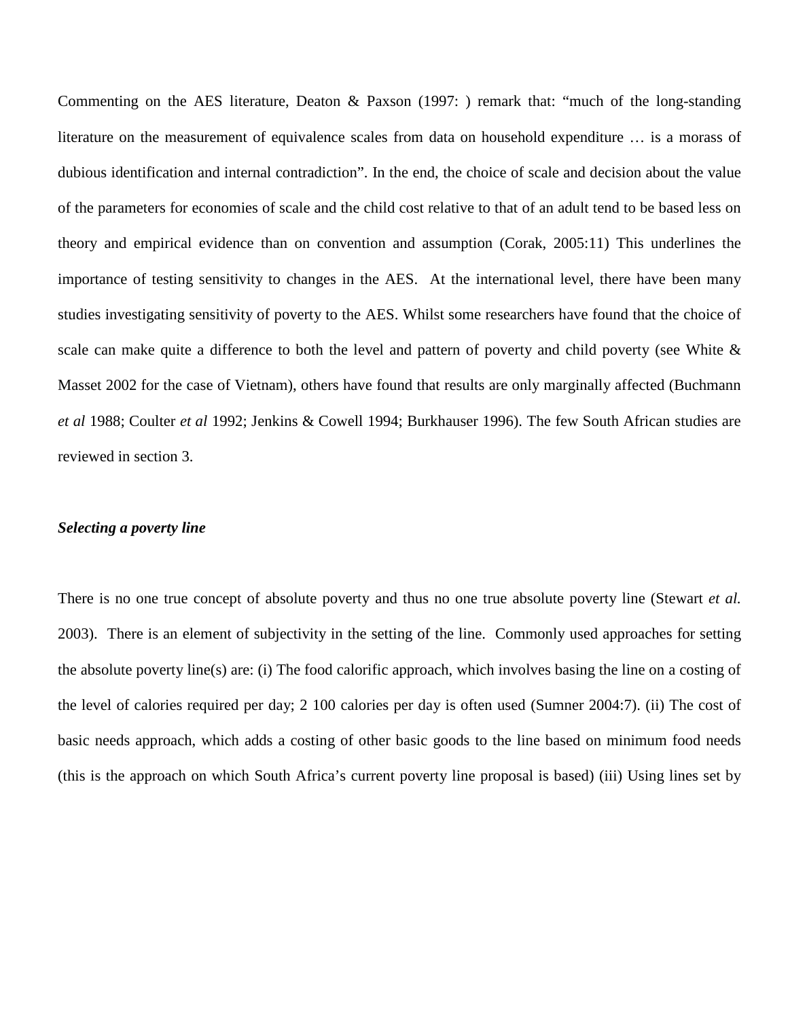Commenting on the AES literature, Deaton & Paxson (1997: ) remark that: "much of the long-standing literature on the measurement of equivalence scales from data on household expenditure … is a morass of dubious identification and internal contradiction". In the end, the choice of scale and decision about the value of the parameters for economies of scale and the child cost relative to that of an adult tend to be based less on theory and empirical evidence than on convention and assumption (Corak, 2005:11) This underlines the importance of testing sensitivity to changes in the AES. At the international level, there have been many studies investigating sensitivity of poverty to the AES. Whilst some researchers have found that the choice of scale can make quite a difference to both the level and pattern of poverty and child poverty (see White  $\&$ Masset 2002 for the case of Vietnam), others have found that results are only marginally affected (Buchmann *et al* 1988; Coulter *et al* 1992; Jenkins & Cowell 1994; Burkhauser 1996). The few South African studies are reviewed in section 3.

### *Selecting a poverty line*

There is no one true concept of absolute poverty and thus no one true absolute poverty line (Stewart *et al.* 2003). There is an element of subjectivity in the setting of the line. Commonly used approaches for setting the absolute poverty line(s) are: (i) The food calorific approach, which involves basing the line on a costing of the level of calories required per day; 2 100 calories per day is often used (Sumner 2004:7). (ii) The cost of basic needs approach, which adds a costing of other basic goods to the line based on minimum food needs (this is the approach on which South Africa's current poverty line proposal is based) (iii) Using lines set by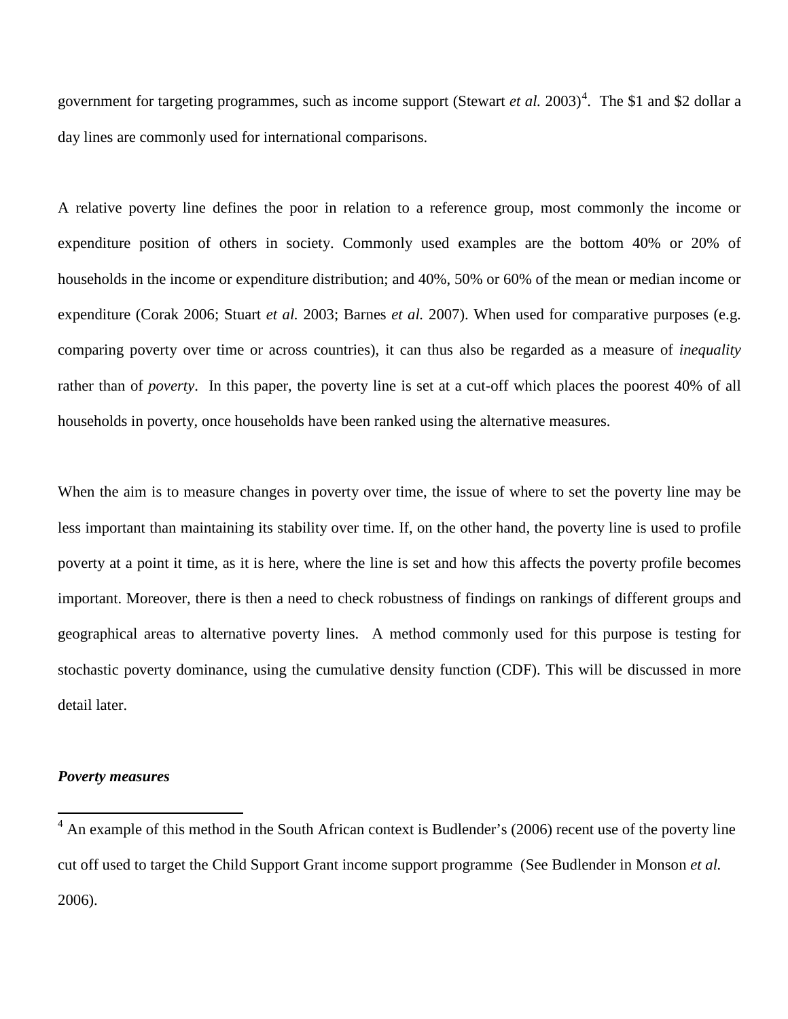government for targeting programmes, such as income support (Stewart *et al.* 2003)<sup>[4](#page-10-0)</sup>. The \$1 and \$2 dollar a day lines are commonly used for international comparisons.

A relative poverty line defines the poor in relation to a reference group, most commonly the income or expenditure position of others in society. Commonly used examples are the bottom 40% or 20% of households in the income or expenditure distribution; and 40%, 50% or 60% of the mean or median income or expenditure (Corak 2006; Stuart *et al.* 2003; Barnes *et al.* 2007). When used for comparative purposes (e.g. comparing poverty over time or across countries), it can thus also be regarded as a measure of *inequality* rather than of *poverty*. In this paper, the poverty line is set at a cut-off which places the poorest 40% of all households in poverty, once households have been ranked using the alternative measures.

When the aim is to measure changes in poverty over time, the issue of where to set the poverty line may be less important than maintaining its stability over time. If, on the other hand, the poverty line is used to profile poverty at a point it time, as it is here, where the line is set and how this affects the poverty profile becomes important. Moreover, there is then a need to check robustness of findings on rankings of different groups and geographical areas to alternative poverty lines. A method commonly used for this purpose is testing for stochastic poverty dominance, using the cumulative density function (CDF). This will be discussed in more detail later.

### *Poverty measures*

<span id="page-10-0"></span><sup>&</sup>lt;sup>4</sup> An example of this method in the South African context is Budlender's (2006) recent use of the poverty line cut off used to target the Child Support Grant income support programme (See Budlender in Monson *et al.* 2006).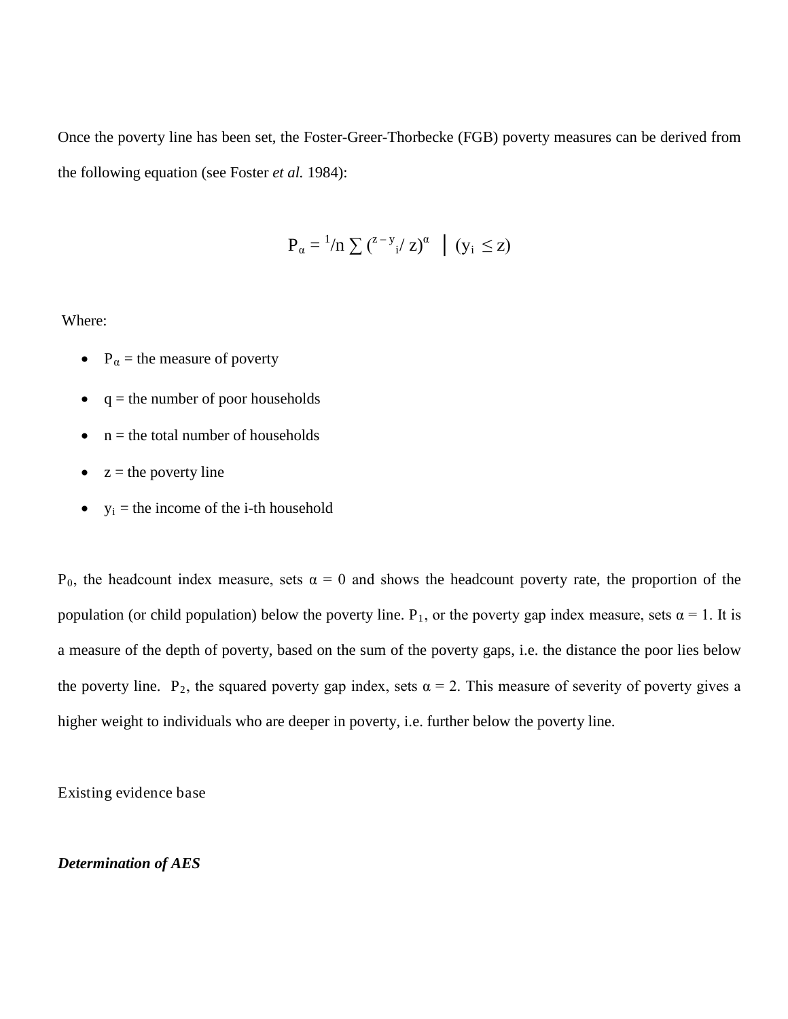Once the poverty line has been set, the Foster-Greer-Thorbecke (FGB) poverty measures can be derived from the following equation (see Foster *et al.* 1984):

$$
P_{\alpha} = {}^{1}/n \sum ({}^{z-y}{}_{i}/z)^{\alpha} \mid (y_{i} \leq z)
$$

Where:

- $P_{\alpha}$  = the measure of poverty
- $\bullet$  q = the number of poor households
- $\bullet$  n = the total number of households
- $z =$  the poverty line
- $y_i$  = the income of the i-th household

P<sub>0</sub>, the headcount index measure, sets  $\alpha = 0$  and shows the headcount poverty rate, the proportion of the population (or child population) below the poverty line.  $P_1$ , or the poverty gap index measure, sets  $\alpha = 1$ . It is a measure of the depth of poverty, based on the sum of the poverty gaps, i.e. the distance the poor lies below the poverty line. P<sub>2</sub>, the squared poverty gap index, sets  $\alpha = 2$ . This measure of severity of poverty gives a higher weight to individuals who are deeper in poverty, i.e. further below the poverty line.

Existing evidence base

# *Determination of AES*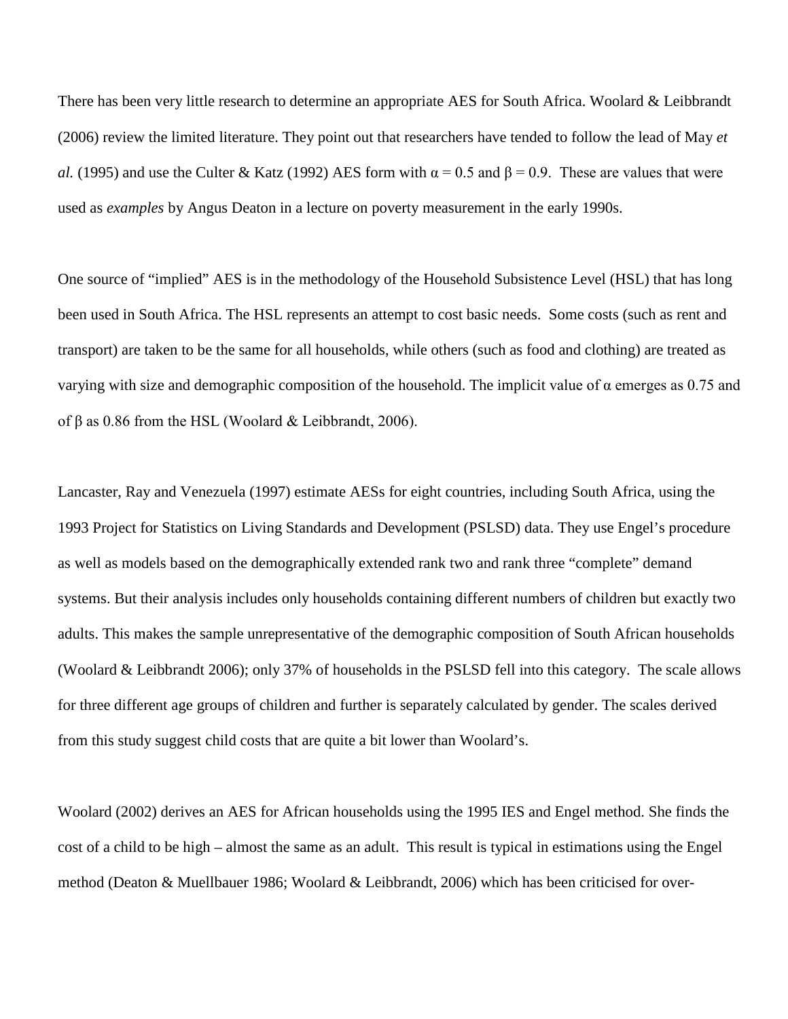There has been very little research to determine an appropriate AES for South Africa. Woolard & Leibbrandt (2006) review the limited literature. They point out that researchers have tended to follow the lead of May *et al.* (1995) and use the Culter & Katz (1992) AES form with  $\alpha = 0.5$  and  $\beta = 0.9$ . These are values that were used as *examples* by Angus Deaton in a lecture on poverty measurement in the early 1990s.

One source of "implied" AES is in the methodology of the Household Subsistence Level (HSL) that has long been used in South Africa. The HSL represents an attempt to cost basic needs. Some costs (such as rent and transport) are taken to be the same for all households, while others (such as food and clothing) are treated as varying with size and demographic composition of the household. The implicit value of  $\alpha$  emerges as 0.75 and of β as 0.86 from the HSL (Woolard & Leibbrandt, 2006).

Lancaster, Ray and Venezuela (1997) estimate AESs for eight countries, including South Africa, using the 1993 Project for Statistics on Living Standards and Development (PSLSD) data. They use Engel's procedure as well as models based on the demographically extended rank two and rank three "complete" demand systems. But their analysis includes only households containing different numbers of children but exactly two adults. This makes the sample unrepresentative of the demographic composition of South African households (Woolard & Leibbrandt 2006); only 37% of households in the PSLSD fell into this category. The scale allows for three different age groups of children and further is separately calculated by gender. The scales derived from this study suggest child costs that are quite a bit lower than Woolard's.

Woolard (2002) derives an AES for African households using the 1995 IES and Engel method. She finds the cost of a child to be high – almost the same as an adult. This result is typical in estimations using the Engel method (Deaton & Muellbauer 1986; Woolard & Leibbrandt, 2006) which has been criticised for over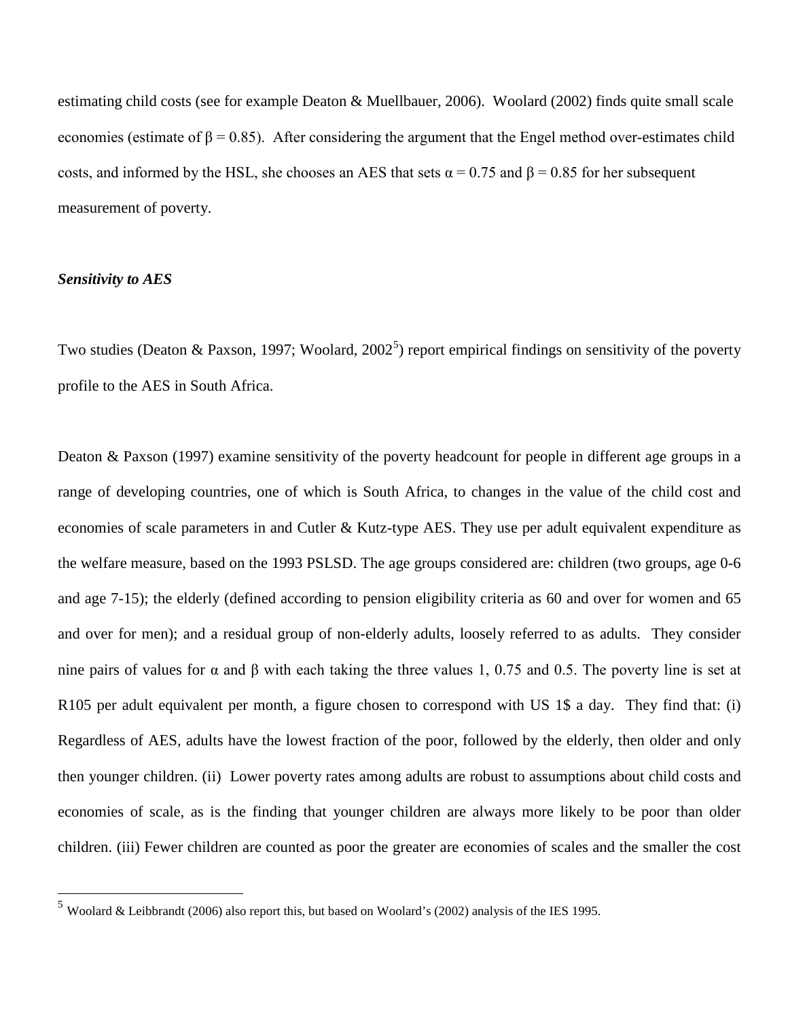estimating child costs (see for example Deaton & Muellbauer, 2006). Woolard (2002) finds quite small scale economies (estimate of  $\beta = 0.85$ ). After considering the argument that the Engel method over-estimates child costs, and informed by the HSL, she chooses an AES that sets  $\alpha = 0.75$  and  $\beta = 0.85$  for her subsequent measurement of poverty.

## *Sensitivity to AES*

Two studies (Deaton & Paxson, 1997; Woolard, 2002<sup>[5](#page-13-0)</sup>) report empirical findings on sensitivity of the poverty profile to the AES in South Africa.

Deaton & Paxson (1997) examine sensitivity of the poverty headcount for people in different age groups in a range of developing countries, one of which is South Africa, to changes in the value of the child cost and economies of scale parameters in and Cutler & Kutz-type AES. They use per adult equivalent expenditure as the welfare measure, based on the 1993 PSLSD. The age groups considered are: children (two groups, age 0-6 and age 7-15); the elderly (defined according to pension eligibility criteria as 60 and over for women and 65 and over for men); and a residual group of non-elderly adults, loosely referred to as adults. They consider nine pairs of values for  $\alpha$  and  $\beta$  with each taking the three values 1, 0.75 and 0.5. The poverty line is set at R105 per adult equivalent per month, a figure chosen to correspond with US 1\$ a day. They find that: (i) Regardless of AES, adults have the lowest fraction of the poor, followed by the elderly, then older and only then younger children. (ii) Lower poverty rates among adults are robust to assumptions about child costs and economies of scale, as is the finding that younger children are always more likely to be poor than older children. (iii) Fewer children are counted as poor the greater are economies of scales and the smaller the cost

<span id="page-13-0"></span> <sup>5</sup> Woolard & Leibbrandt (2006) also report this, but based on Woolard's (2002) analysis of the IES 1995.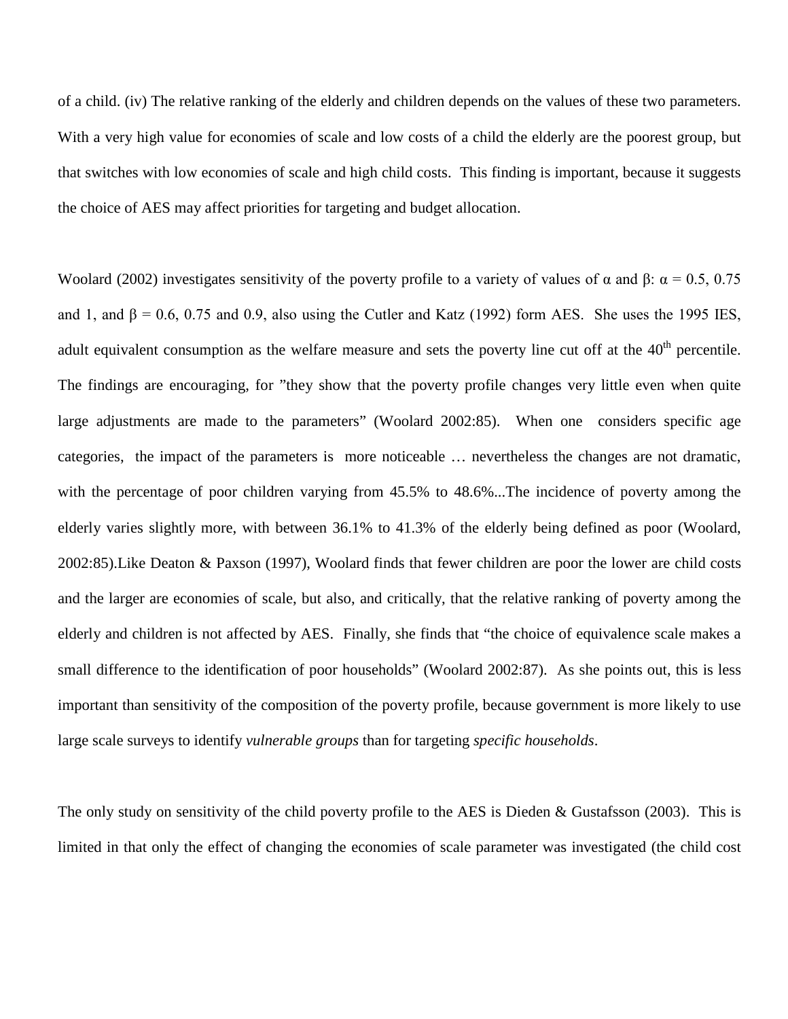of a child. (iv) The relative ranking of the elderly and children depends on the values of these two parameters. With a very high value for economies of scale and low costs of a child the elderly are the poorest group, but that switches with low economies of scale and high child costs. This finding is important, because it suggests the choice of AES may affect priorities for targeting and budget allocation.

Woolard (2002) investigates sensitivity of the poverty profile to a variety of values of  $\alpha$  and  $\beta$ :  $\alpha$  = 0.5, 0.75 and 1, and  $\beta = 0.6$ , 0.75 and 0.9, also using the Cutler and Katz (1992) form AES. She uses the 1995 IES, adult equivalent consumption as the welfare measure and sets the poverty line cut off at the  $40<sup>th</sup>$  percentile. The findings are encouraging, for "they show that the poverty profile changes very little even when quite large adjustments are made to the parameters" (Woolard 2002:85). When one considers specific age categories, the impact of the parameters is more noticeable … nevertheless the changes are not dramatic, with the percentage of poor children varying from 45.5% to 48.6%...The incidence of poverty among the elderly varies slightly more, with between 36.1% to 41.3% of the elderly being defined as poor (Woolard, 2002:85).Like Deaton & Paxson (1997), Woolard finds that fewer children are poor the lower are child costs and the larger are economies of scale, but also, and critically, that the relative ranking of poverty among the elderly and children is not affected by AES. Finally, she finds that "the choice of equivalence scale makes a small difference to the identification of poor households" (Woolard 2002:87). As she points out, this is less important than sensitivity of the composition of the poverty profile, because government is more likely to use large scale surveys to identify *vulnerable groups* than for targeting *specific households*.

The only study on sensitivity of the child poverty profile to the AES is Dieden & Gustafsson (2003). This is limited in that only the effect of changing the economies of scale parameter was investigated (the child cost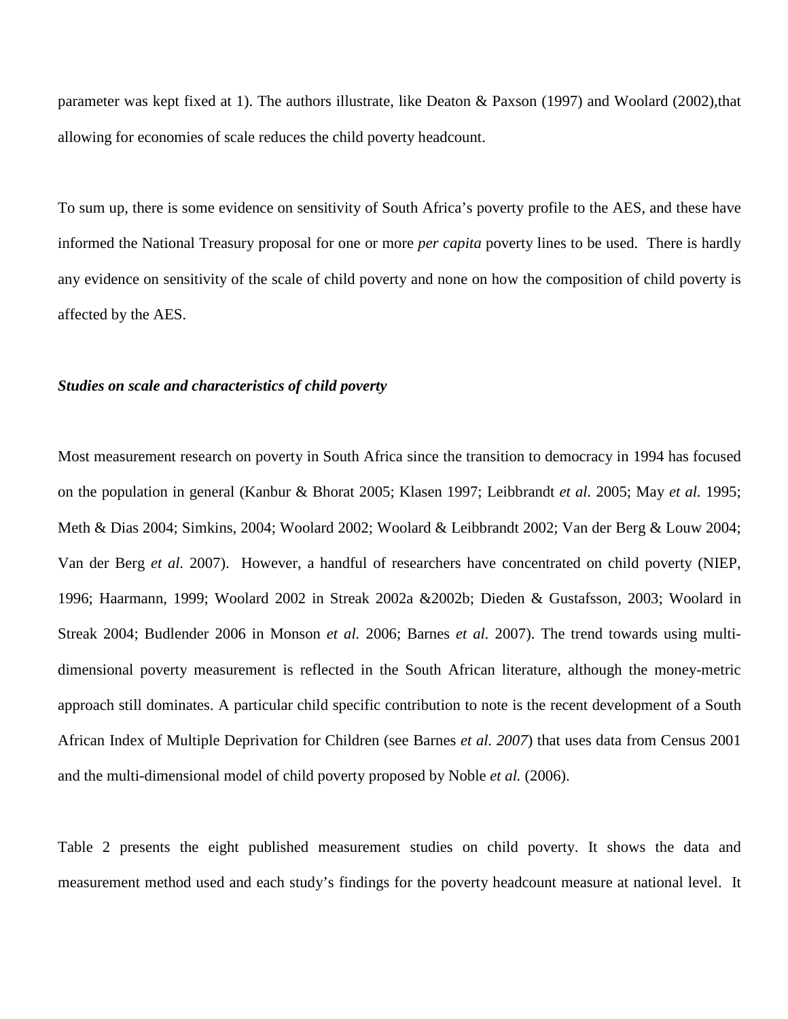parameter was kept fixed at 1). The authors illustrate, like Deaton & Paxson (1997) and Woolard (2002),that allowing for economies of scale reduces the child poverty headcount.

To sum up, there is some evidence on sensitivity of South Africa's poverty profile to the AES, and these have informed the National Treasury proposal for one or more *per capita* poverty lines to be used. There is hardly any evidence on sensitivity of the scale of child poverty and none on how the composition of child poverty is affected by the AES.

### *Studies on scale and characteristics of child poverty*

Most measurement research on poverty in South Africa since the transition to democracy in 1994 has focused on the population in general (Kanbur & Bhorat 2005; Klasen 1997; Leibbrandt *et al.* 2005; May *et al.* 1995; Meth & Dias 2004; Simkins, 2004; Woolard 2002; Woolard & Leibbrandt 2002; Van der Berg & Louw 2004; Van der Berg *et al.* 2007). However, a handful of researchers have concentrated on child poverty (NIEP, 1996; Haarmann, 1999; Woolard 2002 in Streak 2002a &2002b; Dieden & Gustafsson, 2003; Woolard in Streak 2004; Budlender 2006 in Monson *et al.* 2006; Barnes *et al.* 2007). The trend towards using multidimensional poverty measurement is reflected in the South African literature, although the money-metric approach still dominates. A particular child specific contribution to note is the recent development of a South African Index of Multiple Deprivation for Children (see Barnes *et al. 2007*) that uses data from Census 2001 and the multi-dimensional model of child poverty proposed by Noble *et al.* (2006).

Table 2 presents the eight published measurement studies on child poverty. It shows the data and measurement method used and each study's findings for the poverty headcount measure at national level. It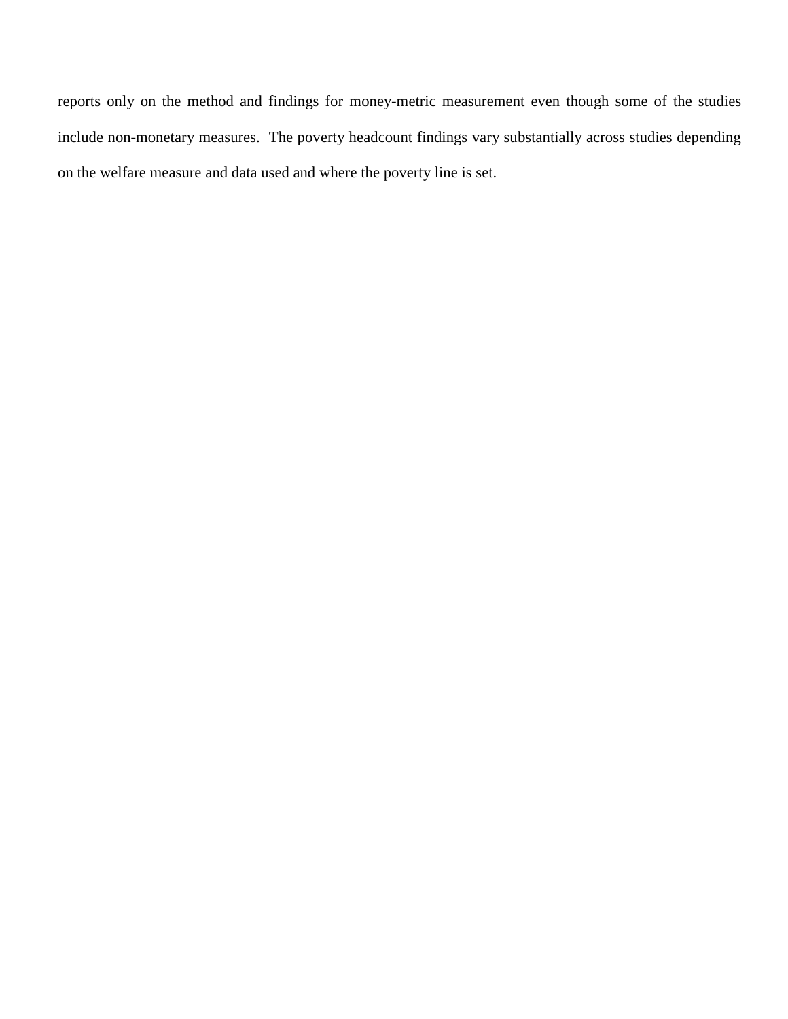reports only on the method and findings for money-metric measurement even though some of the studies include non-monetary measures. The poverty headcount findings vary substantially across studies depending on the welfare measure and data used and where the poverty line is set.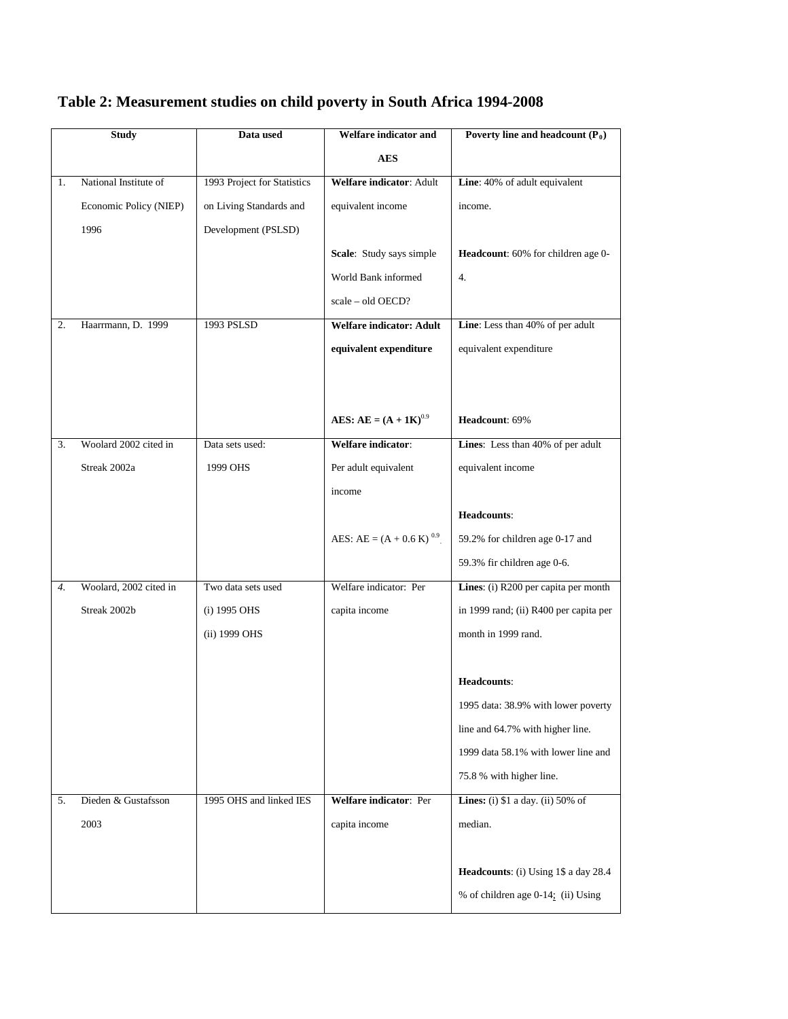# **Table 2: Measurement studies on child poverty in South Africa 1994-2008**

|    | Study                  | Data used                   | Welfare indicator and                   | Poverty line and headcount $(P_0)$           |
|----|------------------------|-----------------------------|-----------------------------------------|----------------------------------------------|
|    |                        |                             | <b>AES</b>                              |                                              |
| 1. | National Institute of  | 1993 Project for Statistics | Welfare indicator: Adult                | Line: 40% of adult equivalent                |
|    | Economic Policy (NIEP) | on Living Standards and     | equivalent income                       | income.                                      |
|    | 1996                   | Development (PSLSD)         |                                         |                                              |
|    |                        |                             | Scale: Study says simple                | Headcount: 60% for children age 0-           |
|    |                        |                             | World Bank informed                     | 4.                                           |
|    |                        |                             | scale – old OECD?                       |                                              |
| 2. | Haarrmann, D. 1999     | 1993 PSLSD                  | <b>Welfare indicator: Adult</b>         | Line: Less than 40% of per adult             |
|    |                        |                             | equivalent expenditure                  | equivalent expenditure                       |
|    |                        |                             |                                         |                                              |
|    |                        |                             |                                         |                                              |
|    |                        |                             | <b>AES:</b> AE = $(A + 1K)^{0.9}$       | Headcount: 69%                               |
| 3. | Woolard 2002 cited in  | Data sets used:             | Welfare indicator:                      | Lines: Less than 40% of per adult            |
|    | Streak 2002a           | 1999 OHS                    | Per adult equivalent                    | equivalent income                            |
|    |                        |                             | income                                  |                                              |
|    |                        |                             |                                         | Headcounts:                                  |
|    |                        |                             | AES: AE = $(A + 0.6 \text{ K})^{0.9}$ . | 59.2% for children age 0-17 and              |
|    |                        |                             |                                         | 59.3% fir children age 0-6.                  |
| 4. | Woolard, 2002 cited in | Two data sets used          | Welfare indicator: Per                  | Lines: (i) R200 per capita per month         |
|    | Streak 2002b           | (i) 1995 OHS                | capita income                           | in 1999 rand; (ii) R400 per capita per       |
|    |                        | (ii) 1999 OHS               |                                         | month in 1999 rand.                          |
|    |                        |                             |                                         |                                              |
|    |                        |                             |                                         | Headcounts:                                  |
|    |                        |                             |                                         | 1995 data: 38.9% with lower poverty          |
|    |                        |                             |                                         | line and 64.7% with higher line.             |
|    |                        |                             |                                         | 1999 data 58.1% with lower line and          |
|    |                        |                             |                                         | 75.8 % with higher line.                     |
| 5. | Dieden & Gustafsson    | 1995 OHS and linked IES     | Welfare indicator: Per                  | <b>Lines:</b> (i) $$1$ a day. (ii) $50\%$ of |
|    | 2003                   |                             | capita income                           | median.                                      |
|    |                        |                             |                                         |                                              |
|    |                        |                             |                                         | Headcounts: (i) Using 1\$ a day 28.4         |
|    |                        |                             |                                         | % of children age 0-14; (ii) Using           |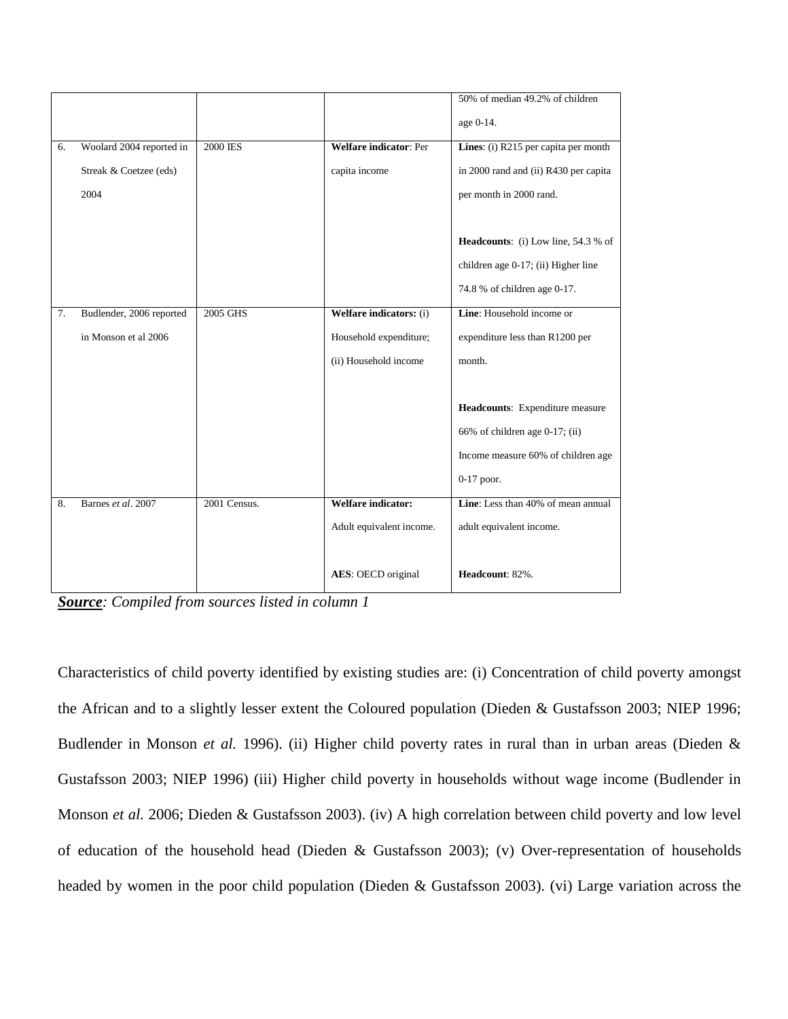|    |                          |              |                               | 50% of median 49.2% of children       |
|----|--------------------------|--------------|-------------------------------|---------------------------------------|
|    |                          |              |                               | age 0-14.                             |
| 6. | Woolard 2004 reported in | 2000 IES     | <b>Welfare indicator: Per</b> | Lines: (i) R215 per capita per month  |
|    | Streak & Coetzee (eds)   |              | capita income                 | in 2000 rand and (ii) R430 per capita |
|    | 2004                     |              |                               | per month in 2000 rand.               |
|    |                          |              |                               |                                       |
|    |                          |              |                               | Headcounts: (i) Low line, 54.3 % of   |
|    |                          |              |                               | children age 0-17; (ii) Higher line   |
|    |                          |              |                               | 74.8 % of children age 0-17.          |
| 7. | Budlender, 2006 reported | 2005 GHS     | Welfare indicators: (i)       | Line: Household income or             |
|    | in Monson et al 2006     |              | Household expenditure;        | expenditure less than R1200 per       |
|    |                          |              | (ii) Household income         | month.                                |
|    |                          |              |                               |                                       |
|    |                          |              |                               | Headcounts: Expenditure measure       |
|    |                          |              |                               | 66% of children age 0-17; (ii)        |
|    |                          |              |                               | Income measure 60% of children age    |
|    |                          |              |                               | $0-17$ poor.                          |
| 8. | Barnes et al. 2007       | 2001 Census. | <b>Welfare indicator:</b>     | Line: Less than 40% of mean annual    |
|    |                          |              | Adult equivalent income.      | adult equivalent income.              |
|    |                          |              |                               |                                       |
|    |                          |              | AES: OECD original            | Headcount: 82%.                       |

*Source: Compiled from sources listed in column 1*

Characteristics of child poverty identified by existing studies are: (i) Concentration of child poverty amongst the African and to a slightly lesser extent the Coloured population (Dieden & Gustafsson 2003; NIEP 1996; Budlender in Monson *et al.* 1996). (ii) Higher child poverty rates in rural than in urban areas (Dieden & Gustafsson 2003; NIEP 1996) (iii) Higher child poverty in households without wage income (Budlender in Monson *et al.* 2006; Dieden & Gustafsson 2003). (iv) A high correlation between child poverty and low level of education of the household head (Dieden & Gustafsson 2003); (v) Over-representation of households headed by women in the poor child population (Dieden & Gustafsson 2003). (vi) Large variation across the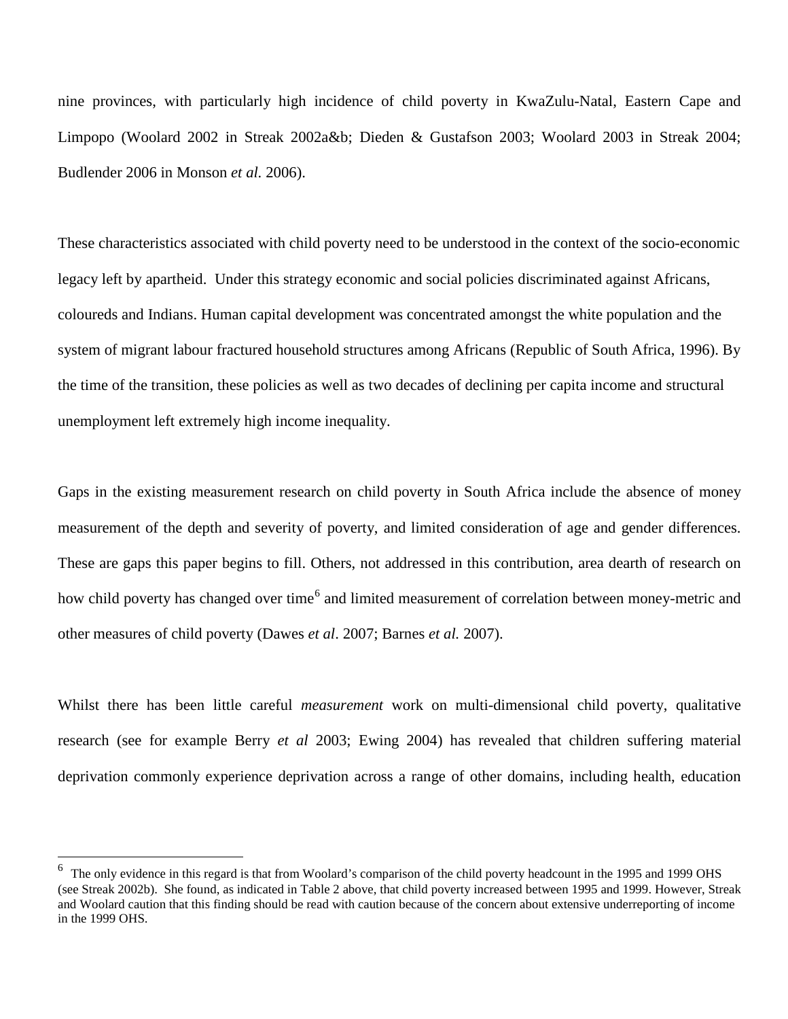nine provinces, with particularly high incidence of child poverty in KwaZulu-Natal, Eastern Cape and Limpopo (Woolard 2002 in Streak 2002a&b; Dieden & Gustafson 2003; Woolard 2003 in Streak 2004; Budlender 2006 in Monson *et al.* 2006).

These characteristics associated with child poverty need to be understood in the context of the socio-economic legacy left by apartheid. Under this strategy economic and social policies discriminated against Africans, coloureds and Indians. Human capital development was concentrated amongst the white population and the system of migrant labour fractured household structures among Africans (Republic of South Africa, 1996). By the time of the transition, these policies as well as two decades of declining per capita income and structural unemployment left extremely high income inequality.

Gaps in the existing measurement research on child poverty in South Africa include the absence of money measurement of the depth and severity of poverty, and limited consideration of age and gender differences. These are gaps this paper begins to fill. Others, not addressed in this contribution, area dearth of research on how child poverty has changed over time<sup>[6](#page-19-0)</sup> and limited measurement of correlation between money-metric and other measures of child poverty (Dawes *et al*. 2007; Barnes *et al.* 2007).

Whilst there has been little careful *measurement* work on multi-dimensional child poverty, qualitative research (see for example Berry *et al* 2003; Ewing 2004) has revealed that children suffering material deprivation commonly experience deprivation across a range of other domains, including health, education

<span id="page-19-0"></span><sup>&</sup>lt;sup>6</sup> The only evidence in this regard is that from Woolard's comparison of the child poverty headcount in the 1995 and 1999 OHS (see Streak 2002b). She found, as indicated in Table 2 above, that child poverty increased between 1995 and 1999. However, Streak and Woolard caution that this finding should be read with caution because of the concern about extensive underreporting of income in the 1999 OHS.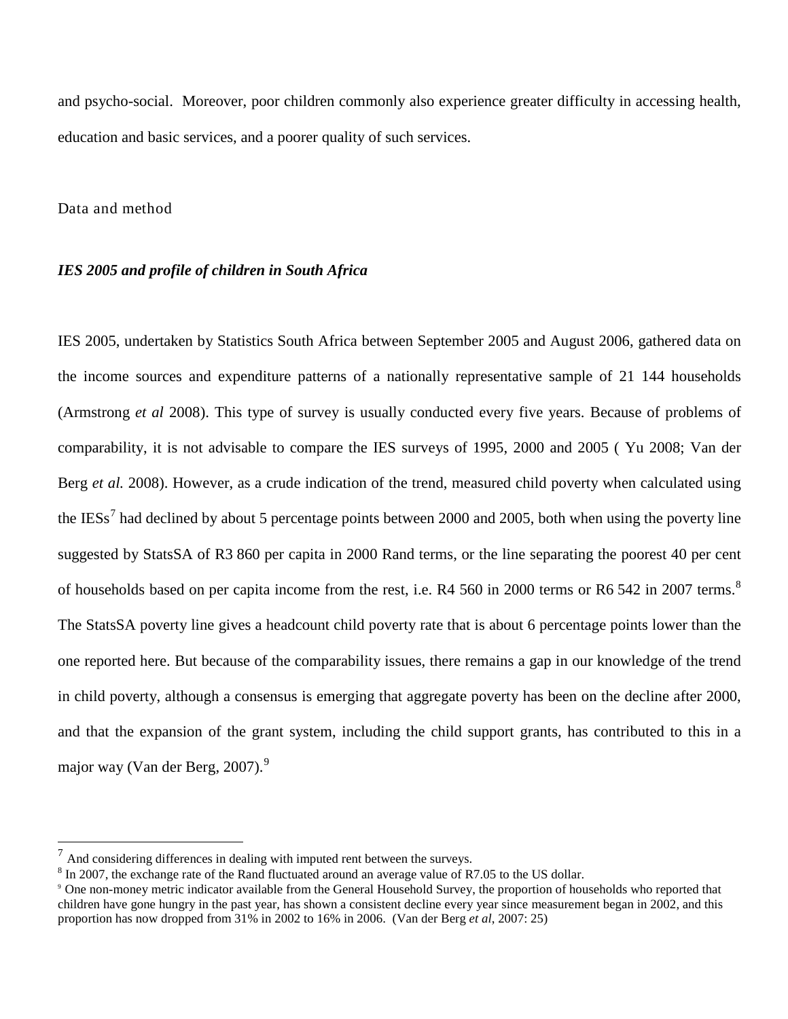and psycho-social. Moreover, poor children commonly also experience greater difficulty in accessing health, education and basic services, and a poorer quality of such services.

### Data and method

### *IES 2005 and profile of children in South Africa*

IES 2005, undertaken by Statistics South Africa between September 2005 and August 2006, gathered data on the income sources and expenditure patterns of a nationally representative sample of 21 144 households (Armstrong *et al* 2008). This type of survey is usually conducted every five years. Because of problems of comparability, it is not advisable to compare the IES surveys of 1995, 2000 and 2005 ( Yu 2008; Van der Berg *et al.* 2008). However, as a crude indication of the trend, measured child poverty when calculated using the IESs<sup>[7](#page-20-0)</sup> had declined by about 5 percentage points between 2000 and 2005, both when using the poverty line suggested by StatsSA of R3 860 per capita in 2000 Rand terms, or the line separating the poorest 40 per cent of households based on per capita income from the rest, i.e. R4 560 in 2000 terms or R6 542 in 2007 terms.<sup>[8](#page-20-1)</sup> The StatsSA poverty line gives a headcount child poverty rate that is about 6 percentage points lower than the one reported here. But because of the comparability issues, there remains a gap in our knowledge of the trend in child poverty, although a consensus is emerging that aggregate poverty has been on the decline after 2000, and that the expansion of the grant system, including the child support grants, has contributed to this in a major way (Van der Berg, 2007). $9$ 

<span id="page-20-0"></span> $7$  And considering differences in dealing with imputed rent between the surveys.

<span id="page-20-1"></span><sup>&</sup>lt;sup>8</sup> In 2007, the exchange rate of the Rand fluctuated around an average value of R7.05 to the US dollar.

<span id="page-20-2"></span><sup>9</sup> One non-money metric indicator available from the General Household Survey, the proportion of households who reported that children have gone hungry in the past year, has shown a consistent decline every year since measurement began in 2002, and this proportion has now dropped from 31% in 2002 to 16% in 2006. (Van der Berg *et al*, 2007: 25)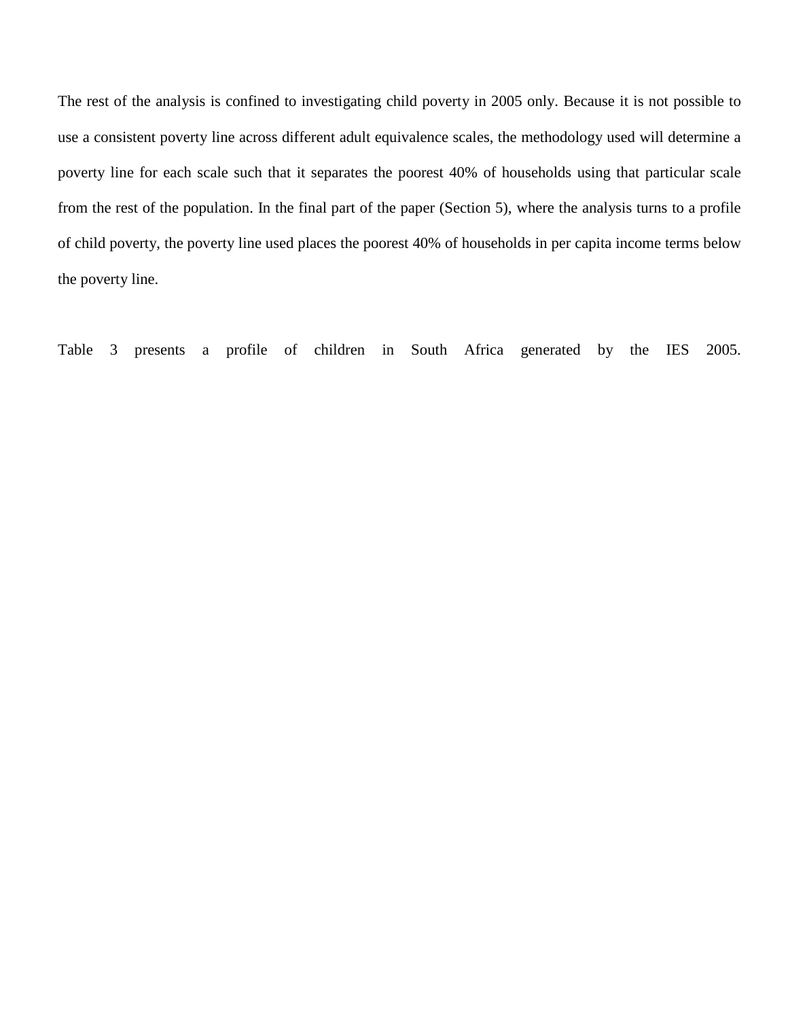The rest of the analysis is confined to investigating child poverty in 2005 only. Because it is not possible to use a consistent poverty line across different adult equivalence scales, the methodology used will determine a poverty line for each scale such that it separates the poorest 40% of households using that particular scale from the rest of the population. In the final part of the paper (Section 5), where the analysis turns to a profile of child poverty, the poverty line used places the poorest 40% of households in per capita income terms below the poverty line.

Table 3 presents a profile of children in South Africa generated by the IES 2005.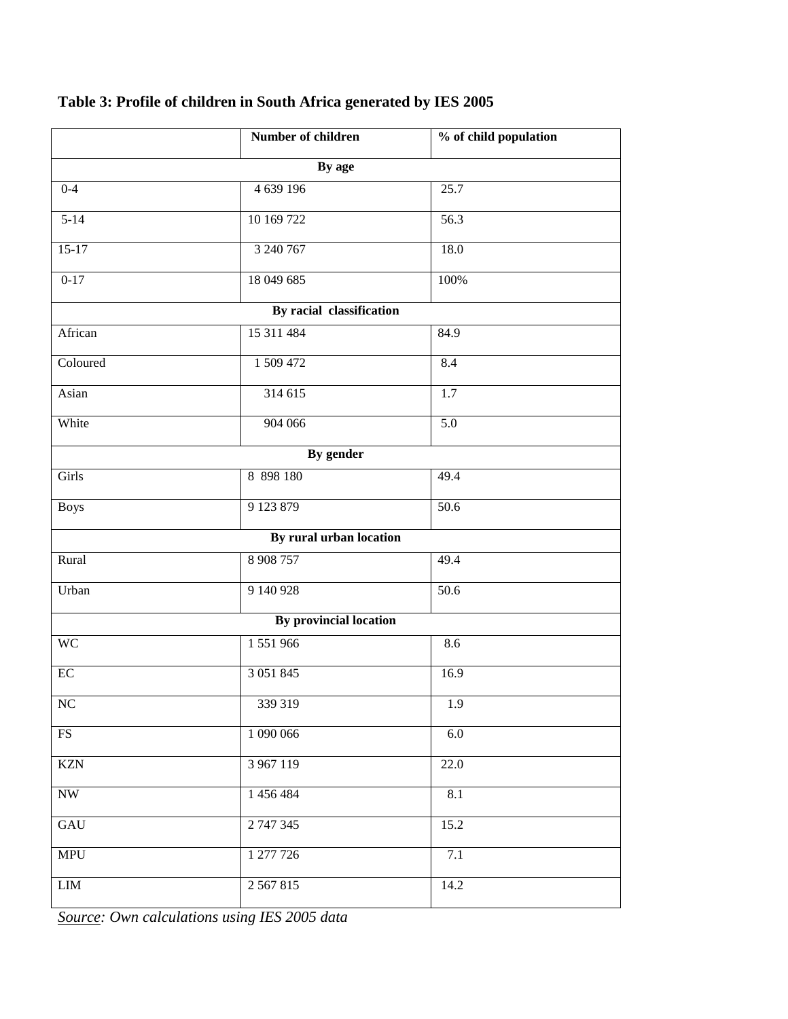|                          | Number of children            | % of child population |  |  |  |  |  |  |  |  |
|--------------------------|-------------------------------|-----------------------|--|--|--|--|--|--|--|--|
|                          | By age                        |                       |  |  |  |  |  |  |  |  |
| $0 - 4$                  | 4 639 196                     | 25.7                  |  |  |  |  |  |  |  |  |
| $5 - 14$                 | 10 169 722                    | 56.3                  |  |  |  |  |  |  |  |  |
| $15-17$                  | 3 240 767                     | 18.0                  |  |  |  |  |  |  |  |  |
| $0 - 17$                 | 18 049 685                    | 100%                  |  |  |  |  |  |  |  |  |
| By racial classification |                               |                       |  |  |  |  |  |  |  |  |
| African                  | 15 311 484                    | 84.9                  |  |  |  |  |  |  |  |  |
| Coloured                 | 1 509 472                     | 8.4                   |  |  |  |  |  |  |  |  |
| Asian                    | 314 615                       | 1.7                   |  |  |  |  |  |  |  |  |
| White                    | 904 066                       | 5.0                   |  |  |  |  |  |  |  |  |
|                          | By gender                     |                       |  |  |  |  |  |  |  |  |
| Girls                    | 8 898 180                     | 49.4                  |  |  |  |  |  |  |  |  |
| <b>Boys</b>              | 9 123 879                     | $\overline{50.6}$     |  |  |  |  |  |  |  |  |
|                          | By rural urban location       |                       |  |  |  |  |  |  |  |  |
| Rural                    | 8 908 757                     | 49.4                  |  |  |  |  |  |  |  |  |
| Urban                    | 9 140 928                     | 50.6                  |  |  |  |  |  |  |  |  |
|                          | <b>By provincial location</b> |                       |  |  |  |  |  |  |  |  |
| <b>WC</b>                | 1 551 966                     | 8.6                   |  |  |  |  |  |  |  |  |
| $\rm EC$                 | 3 0 5 1 8 4 5                 | 16.9                  |  |  |  |  |  |  |  |  |
| NC                       | 339 319                       | 1.9                   |  |  |  |  |  |  |  |  |
| FS                       | 1 090 066                     | 6.0                   |  |  |  |  |  |  |  |  |
| <b>KZN</b>               | 3 967 119                     | 22.0                  |  |  |  |  |  |  |  |  |
| <b>NW</b>                | 1 456 484                     | 8.1                   |  |  |  |  |  |  |  |  |
| GAU                      | 2 747 345                     | 15.2                  |  |  |  |  |  |  |  |  |
| <b>MPU</b>               | 1 277 726                     | 7.1                   |  |  |  |  |  |  |  |  |
| ${\rm LIM}$              | 2 5 6 7 8 1 5                 | 14.2                  |  |  |  |  |  |  |  |  |

# **Table 3: Profile of children in South Africa generated by IES 2005**

*Source: Own calculations using IES 2005 data*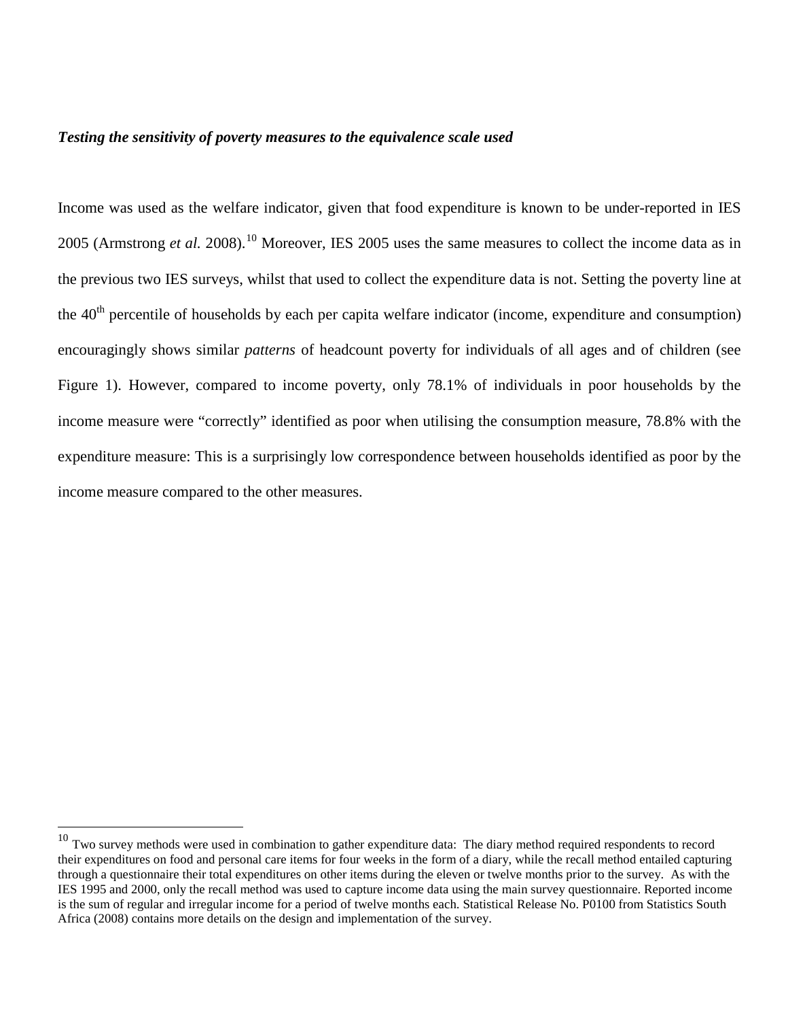# *Testing the sensitivity of poverty measures to the equivalence scale used*

Income was used as the welfare indicator, given that food expenditure is known to be under-reported in IES 2005 (Armstrong *et al.* 2008).<sup>[10](#page-23-0)</sup> Moreover, IES 2005 uses the same measures to collect the income data as in the previous two IES surveys, whilst that used to collect the expenditure data is not. Setting the poverty line at the 40<sup>th</sup> percentile of households by each per capita welfare indicator (income, expenditure and consumption) encouragingly shows similar *patterns* of headcount poverty for individuals of all ages and of children (see Figure 1). However, compared to income poverty, only 78.1% of individuals in poor households by the income measure were "correctly" identified as poor when utilising the consumption measure, 78.8% with the expenditure measure: This is a surprisingly low correspondence between households identified as poor by the income measure compared to the other measures.

<span id="page-23-0"></span> $10$  Two survey methods were used in combination to gather expenditure data: The diary method required respondents to record their expenditures on food and personal care items for four weeks in the form of a diary, while the recall method entailed capturing through a questionnaire their total expenditures on other items during the eleven or twelve months prior to the survey. As with the IES 1995 and 2000, only the recall method was used to capture income data using the main survey questionnaire. Reported income is the sum of regular and irregular income for a period of twelve months each. Statistical Release No. P0100 from Statistics South Africa (2008) contains more details on the design and implementation of the survey.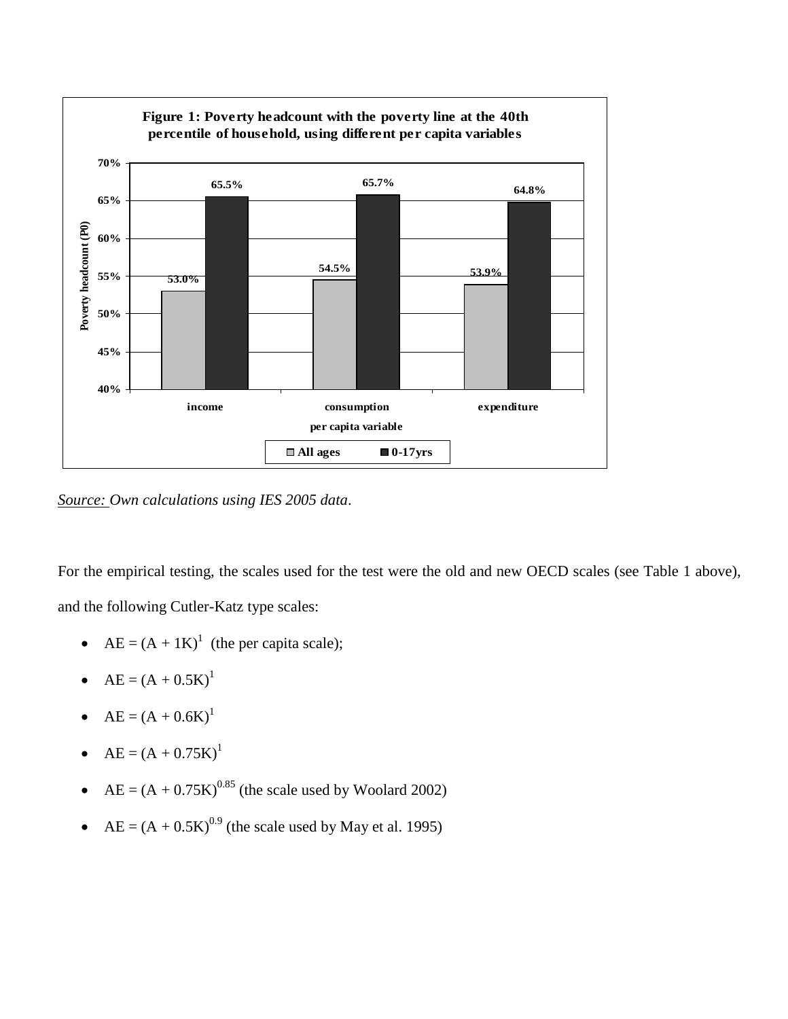

*Source: Own calculations using IES 2005 data*.

For the empirical testing, the scales used for the test were the old and new OECD scales (see Table 1 above), and the following Cutler-Katz type scales:

- $AE = (A + 1K)^{1}$  (the per capita scale);
- $AE = (A + 0.5K)^{1}$
- $AE = (A + 0.6K)^{1}$
- $AE = (A + 0.75K)^{1}$
- $AE = (A + 0.75K)^{0.85}$  (the scale used by Woolard 2002)
- AE =  $(A + 0.5K)^{0.9}$  (the scale used by May et al. 1995)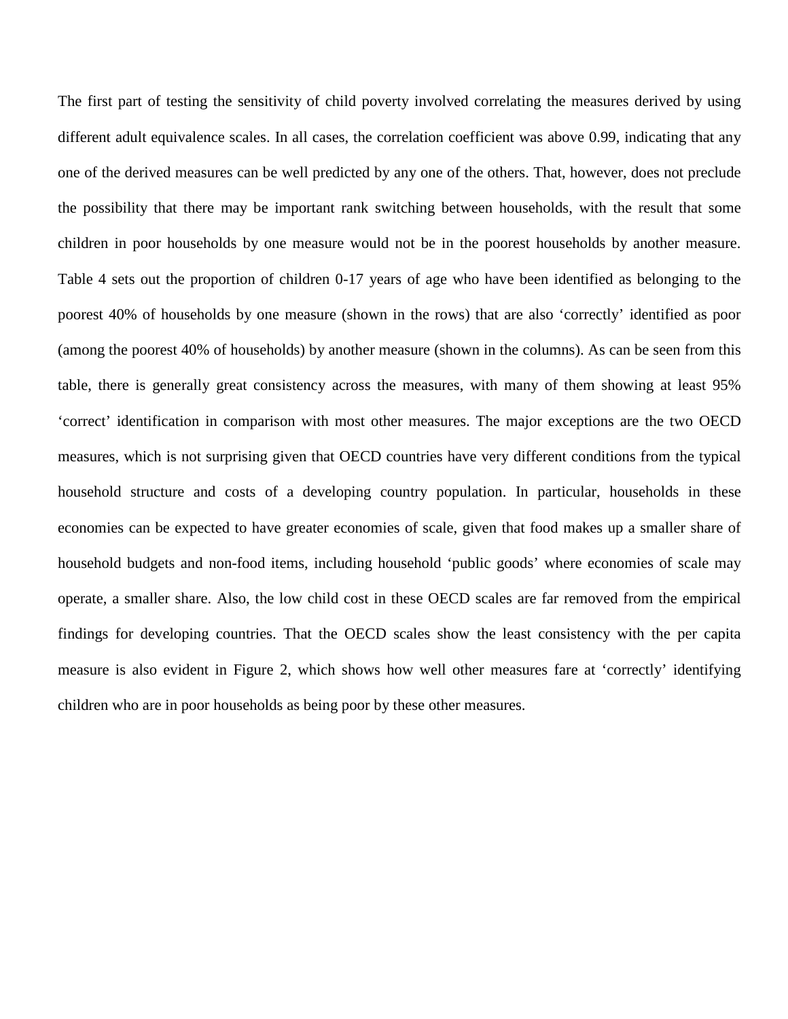The first part of testing the sensitivity of child poverty involved correlating the measures derived by using different adult equivalence scales. In all cases, the correlation coefficient was above 0.99, indicating that any one of the derived measures can be well predicted by any one of the others. That, however, does not preclude the possibility that there may be important rank switching between households, with the result that some children in poor households by one measure would not be in the poorest households by another measure. Table 4 sets out the proportion of children 0-17 years of age who have been identified as belonging to the poorest 40% of households by one measure (shown in the rows) that are also 'correctly' identified as poor (among the poorest 40% of households) by another measure (shown in the columns). As can be seen from this table, there is generally great consistency across the measures, with many of them showing at least 95% 'correct' identification in comparison with most other measures. The major exceptions are the two OECD measures, which is not surprising given that OECD countries have very different conditions from the typical household structure and costs of a developing country population. In particular, households in these economies can be expected to have greater economies of scale, given that food makes up a smaller share of household budgets and non-food items, including household 'public goods' where economies of scale may operate, a smaller share. Also, the low child cost in these OECD scales are far removed from the empirical findings for developing countries. That the OECD scales show the least consistency with the per capita measure is also evident in Figure 2, which shows how well other measures fare at 'correctly' identifying children who are in poor households as being poor by these other measures.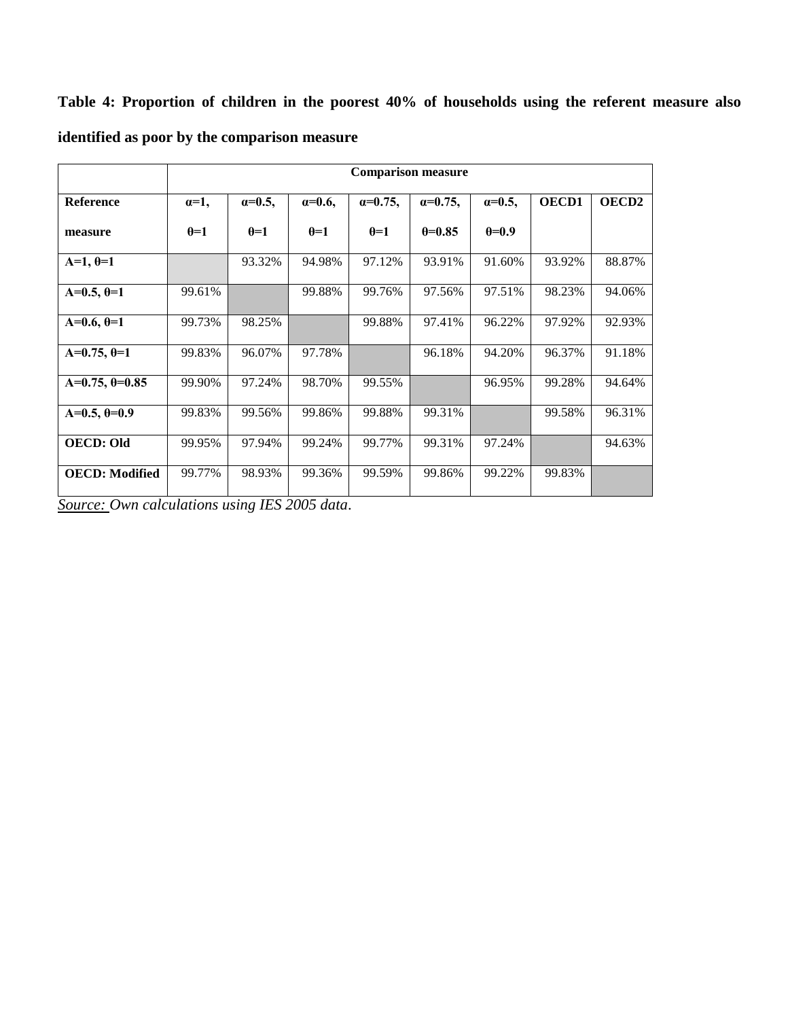**Table 4: Proportion of children in the poorest 40% of households using the referent measure also identified as poor by the comparison measure**

|                       | <b>Comparison measure</b> |                  |                |                   |                   |                  |        |              |  |  |
|-----------------------|---------------------------|------------------|----------------|-------------------|-------------------|------------------|--------|--------------|--|--|
| <b>Reference</b>      | $\alpha=1$ ,              | $\alpha = 0.5$ , | $\alpha=0.6$ , | $\alpha = 0.75$ , | $\alpha = 0.75$ , | $\alpha = 0.5$ , | OECD1  | <b>OECD2</b> |  |  |
| measure               | $\theta = 1$              | $\theta = 1$     | $\theta = 1$   | $\theta = 1$      | $0=0.85$          | $\theta = 0.9$   |        |              |  |  |
| $A=1, \theta=1$       |                           | 93.32%           | 94.98%         | 97.12%            | 93.91%            | 91.60%           | 93.92% | 88.87%       |  |  |
| $A=0.5, \theta=1$     | 99.61%                    |                  | 99.88%         | 99.76%            | 97.56%            | 97.51%           | 98.23% | 94.06%       |  |  |
| $A=0.6, \theta=1$     | 99.73%                    | 98.25%           |                | 99.88%            | 97.41%            | 96.22%           | 97.92% | 92.93%       |  |  |
| $A=0.75, \theta=1$    | 99.83%                    | 96.07%           | 97.78%         |                   | 96.18%            | 94.20%           | 96.37% | 91.18%       |  |  |
| $A=0.75, \theta=0.85$ | 99.90%                    | 97.24%           | 98.70%         | 99.55%            |                   | 96.95%           | 99.28% | 94.64%       |  |  |
| $A=0.5, \theta=0.9$   | 99.83%                    | 99.56%           | 99.86%         | 99.88%            | 99.31%            |                  | 99.58% | 96.31%       |  |  |
| <b>OECD: Old</b>      | 99.95%                    | 97.94%           | 99.24%         | 99.77%            | 99.31%            | 97.24%           |        | 94.63%       |  |  |
| <b>OECD: Modified</b> | 99.77%                    | 98.93%           | 99.36%         | 99.59%            | 99.86%            | 99.22%           | 99.83% |              |  |  |

*Source: Own calculations using IES 2005 data*.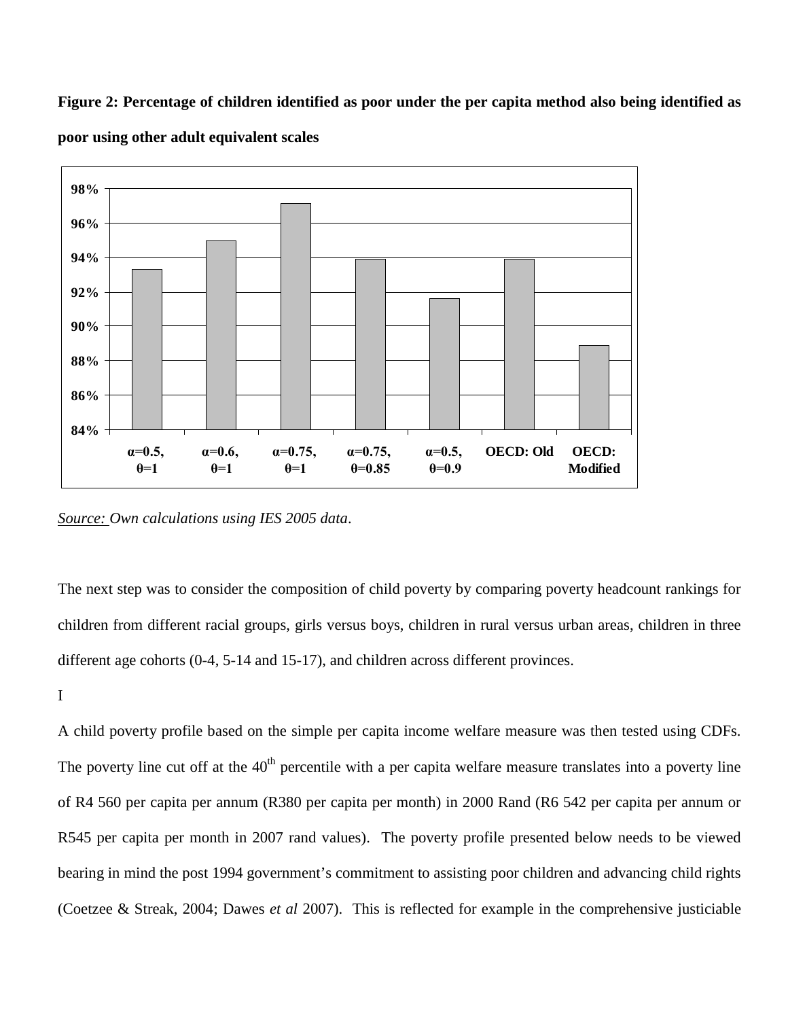**Figure 2: Percentage of children identified as poor under the per capita method also being identified as poor using other adult equivalent scales**



*Source: Own calculations using IES 2005 data*.

The next step was to consider the composition of child poverty by comparing poverty headcount rankings for children from different racial groups, girls versus boys, children in rural versus urban areas, children in three different age cohorts (0-4, 5-14 and 15-17), and children across different provinces.

I

A child poverty profile based on the simple per capita income welfare measure was then tested using CDFs. The poverty line cut off at the  $40<sup>th</sup>$  percentile with a per capita welfare measure translates into a poverty line of R4 560 per capita per annum (R380 per capita per month) in 2000 Rand (R6 542 per capita per annum or R545 per capita per month in 2007 rand values). The poverty profile presented below needs to be viewed bearing in mind the post 1994 government's commitment to assisting poor children and advancing child rights (Coetzee & Streak, 2004; Dawes *et al* 2007). This is reflected for example in the comprehensive justiciable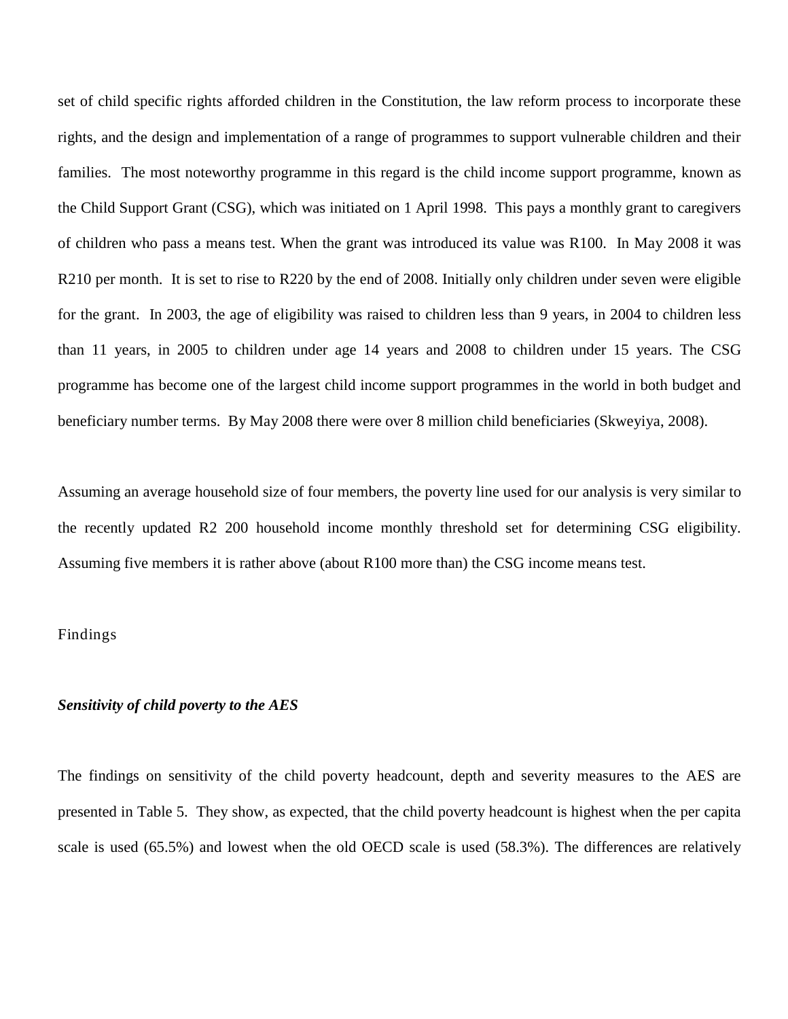set of child specific rights afforded children in the Constitution, the law reform process to incorporate these rights, and the design and implementation of a range of programmes to support vulnerable children and their families. The most noteworthy programme in this regard is the child income support programme, known as the Child Support Grant (CSG), which was initiated on 1 April 1998. This pays a monthly grant to caregivers of children who pass a means test. When the grant was introduced its value was R100. In May 2008 it was R210 per month. It is set to rise to R220 by the end of 2008. Initially only children under seven were eligible for the grant. In 2003, the age of eligibility was raised to children less than 9 years, in 2004 to children less than 11 years, in 2005 to children under age 14 years and 2008 to children under 15 years. The CSG programme has become one of the largest child income support programmes in the world in both budget and beneficiary number terms. By May 2008 there were over 8 million child beneficiaries (Skweyiya, 2008).

Assuming an average household size of four members, the poverty line used for our analysis is very similar to the recently updated R2 200 household income monthly threshold set for determining CSG eligibility. Assuming five members it is rather above (about R100 more than) the CSG income means test.

### Findings

### *Sensitivity of child poverty to the AES*

The findings on sensitivity of the child poverty headcount, depth and severity measures to the AES are presented in Table 5. They show, as expected, that the child poverty headcount is highest when the per capita scale is used (65.5%) and lowest when the old OECD scale is used (58.3%). The differences are relatively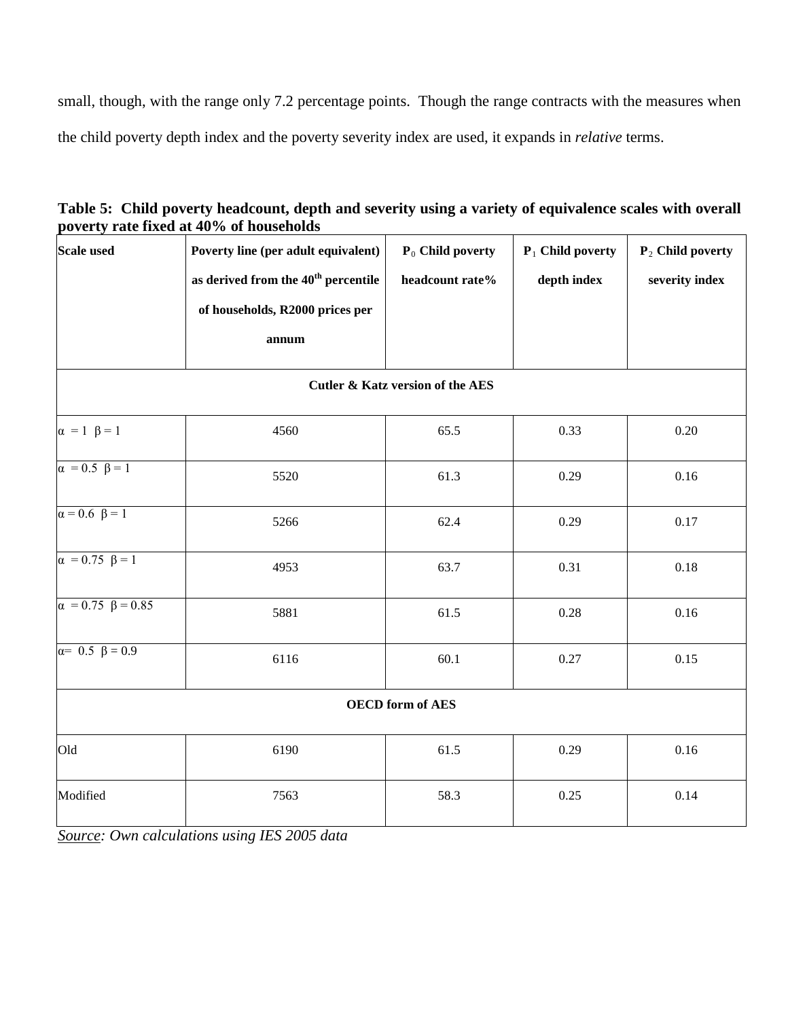small, though, with the range only 7.2 percentage points. Though the range contracts with the measures when the child poverty depth index and the poverty severity index are used, it expands in *relative* terms.

| Table 5: Child poverty headcount, depth and severity using a variety of equivalence scales with overall |
|---------------------------------------------------------------------------------------------------------|
| poverty rate fixed at 40% of households                                                                 |

| <b>Scale used</b>                           | Poverty line (per adult equivalent)             | P <sub>0</sub> Child poverty | $P_1$ Child poverty | $P_2$ Child poverty |  |  |  |  |  |  |  |
|---------------------------------------------|-------------------------------------------------|------------------------------|---------------------|---------------------|--|--|--|--|--|--|--|
|                                             | as derived from the 40 <sup>th</sup> percentile | headcount rate%              | depth index         | severity index      |  |  |  |  |  |  |  |
|                                             | of households, R2000 prices per                 |                              |                     |                     |  |  |  |  |  |  |  |
|                                             | annum                                           |                              |                     |                     |  |  |  |  |  |  |  |
| <b>Cutler &amp; Katz version of the AES</b> |                                                 |                              |                     |                     |  |  |  |  |  |  |  |
| $\alpha = 1$ $\beta = 1$                    | 4560                                            | 65.5                         | 0.33                | 0.20                |  |  |  |  |  |  |  |
| $\alpha = 0.5 \ \beta = 1$                  | 5520                                            | 61.3                         | 0.29                | 0.16                |  |  |  |  |  |  |  |
| $\alpha = 0.6 \ \beta = 1$                  | 5266                                            | 62.4                         | 0.29                | 0.17                |  |  |  |  |  |  |  |
| $\alpha = 0.75 \ \beta = 1$                 | 4953                                            | 63.7                         | 0.31                | 0.18                |  |  |  |  |  |  |  |
| $\alpha = 0.75 \ \beta = 0.85$              | 5881                                            | 61.5                         | 0.28                | 0.16                |  |  |  |  |  |  |  |
| $\alpha = 0.5 \ \beta = 0.9$                | 6116                                            | 60.1                         | 0.27                | 0.15                |  |  |  |  |  |  |  |
| <b>OECD</b> form of AES                     |                                                 |                              |                     |                     |  |  |  |  |  |  |  |
| Old                                         | 6190                                            | 61.5                         | 0.29                | 0.16                |  |  |  |  |  |  |  |
| Modified                                    | 7563                                            | 58.3                         | 0.25                | 0.14                |  |  |  |  |  |  |  |

*Source: Own calculations using IES 2005 data*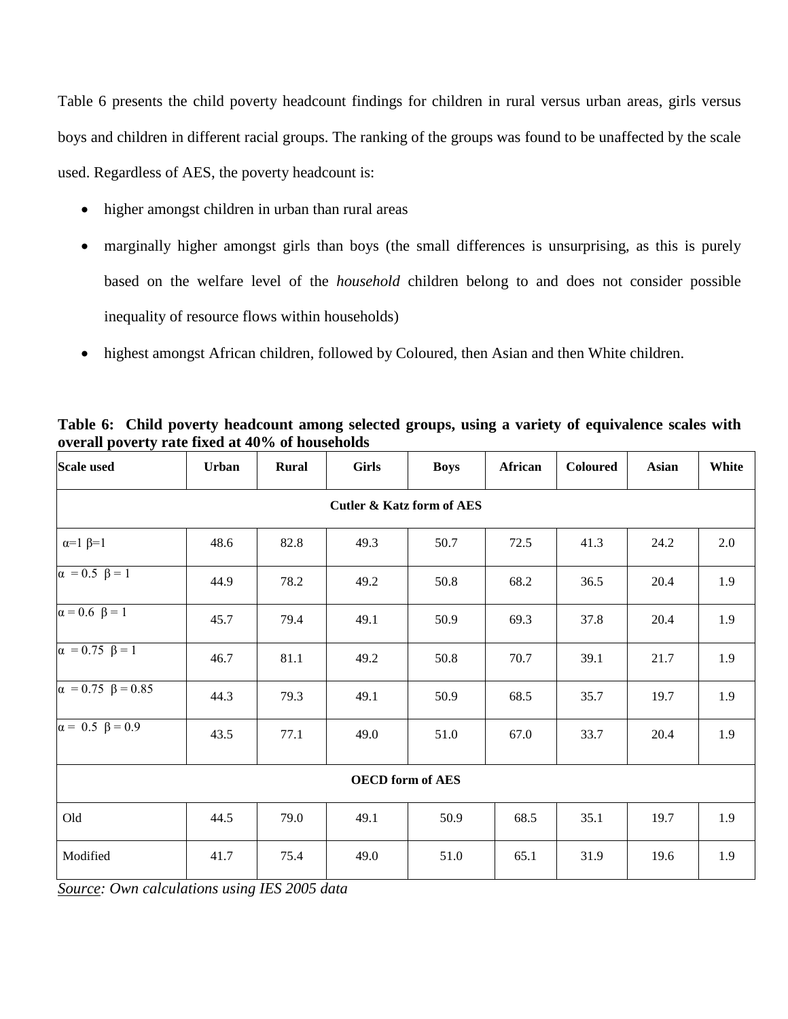Table 6 presents the child poverty headcount findings for children in rural versus urban areas, girls versus boys and children in different racial groups. The ranking of the groups was found to be unaffected by the scale used. Regardless of AES, the poverty headcount is:

- higher amongst children in urban than rural areas
- marginally higher amongst girls than boys (the small differences is unsurprising, as this is purely based on the welfare level of the *household* children belong to and does not consider possible inequality of resource flows within households)
- highest amongst African children, followed by Coloured, then Asian and then White children.

| <b>Scale used</b>                    | Urban | Rural | <b>Girls</b> | <b>Boys</b> | African | Coloured | <b>Asian</b> | White |  |  |  |
|--------------------------------------|-------|-------|--------------|-------------|---------|----------|--------------|-------|--|--|--|
| <b>Cutler &amp; Katz form of AES</b> |       |       |              |             |         |          |              |       |  |  |  |
| $\alpha=1$ $\beta=1$                 | 48.6  | 82.8  | 49.3         | 50.7        | 72.5    | 41.3     | 24.2         | 2.0   |  |  |  |
| $\alpha = 0.5 \ \beta = 1$           | 44.9  | 78.2  | 49.2         | 50.8        | 68.2    | 36.5     | 20.4         | 1.9   |  |  |  |
| $\alpha = 0.6 \ \beta = 1$           | 45.7  | 79.4  | 49.1         | 50.9        | 69.3    | 37.8     | 20.4         | 1.9   |  |  |  |
| $\alpha = 0.75 \ \beta = 1$          | 46.7  | 81.1  | 49.2         | 50.8        | 70.7    | 39.1     | 21.7         | 1.9   |  |  |  |
| $\alpha = 0.75 \ \beta = 0.85$       | 44.3  | 79.3  | 49.1         | 50.9        | 68.5    | 35.7     | 19.7         | 1.9   |  |  |  |
| $\alpha = 0.5 \ \beta = 0.9$         | 43.5  | 77.1  | 49.0         | 51.0        | 67.0    | 33.7     | 20.4         | 1.9   |  |  |  |
| <b>OECD</b> form of AES              |       |       |              |             |         |          |              |       |  |  |  |
| Old                                  | 44.5  | 79.0  | 49.1         | 50.9        | 68.5    | 35.1     | 19.7         | 1.9   |  |  |  |
| Modified                             | 41.7  | 75.4  | 49.0         | 51.0        | 65.1    | 31.9     | 19.6         | 1.9   |  |  |  |

**Table 6: Child poverty headcount among selected groups, using a variety of equivalence scales with overall poverty rate fixed at 40% of households**

*Source: Own calculations using IES 2005 data*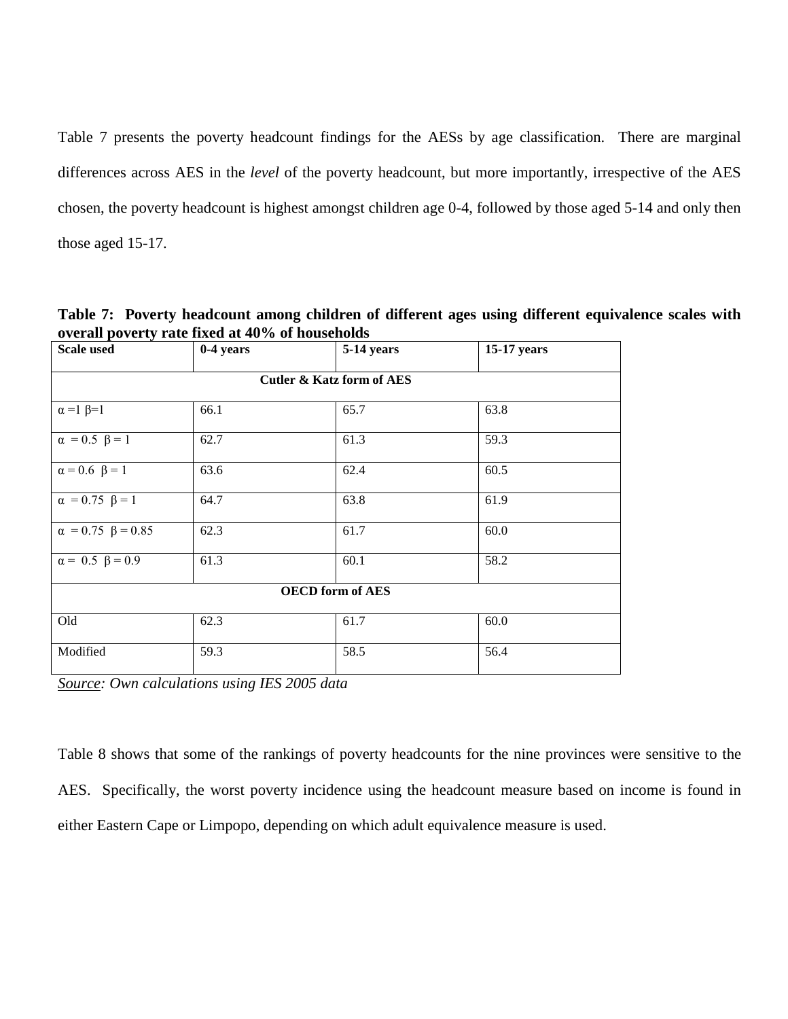Table 7 presents the poverty headcount findings for the AESs by age classification. There are marginal differences across AES in the *level* of the poverty headcount, but more importantly, irrespective of the AES chosen, the poverty headcount is highest amongst children age 0-4, followed by those aged 5-14 and only then those aged 15-17.

**Table 7: Poverty headcount among children of different ages using different equivalence scales with overall poverty rate fixed at 40% of households**

| <b>Scale used</b>              | 0-4 years | 5-14 years | 15-17 years |  |  |  |  |  |
|--------------------------------|-----------|------------|-------------|--|--|--|--|--|
| Cutler & Katz form of AES      |           |            |             |  |  |  |  |  |
| $\alpha = 1$ $\beta = 1$       | 66.1      | 65.7       | 63.8        |  |  |  |  |  |
| $\alpha = 0.5 \ \beta = 1$     | 62.7      | 61.3       | 59.3        |  |  |  |  |  |
| $\alpha = 0.6 \ \beta = 1$     | 63.6      | 62.4       | 60.5        |  |  |  |  |  |
| $\alpha = 0.75 \ \beta = 1$    | 64.7      | 63.8       | 61.9        |  |  |  |  |  |
| $\alpha = 0.75 \ \beta = 0.85$ | 62.3      | 61.7       | 60.0        |  |  |  |  |  |
| $\alpha = 0.5 \ \beta = 0.9$   | 61.3      | 60.1       | 58.2        |  |  |  |  |  |
| <b>OECD</b> form of AES        |           |            |             |  |  |  |  |  |
| Old                            | 62.3      | 61.7       | 60.0        |  |  |  |  |  |
| Modified                       | 59.3      | 58.5       | 56.4        |  |  |  |  |  |

*Source: Own calculations using IES 2005 data*

Table 8 shows that some of the rankings of poverty headcounts for the nine provinces were sensitive to the AES. Specifically, the worst poverty incidence using the headcount measure based on income is found in either Eastern Cape or Limpopo, depending on which adult equivalence measure is used.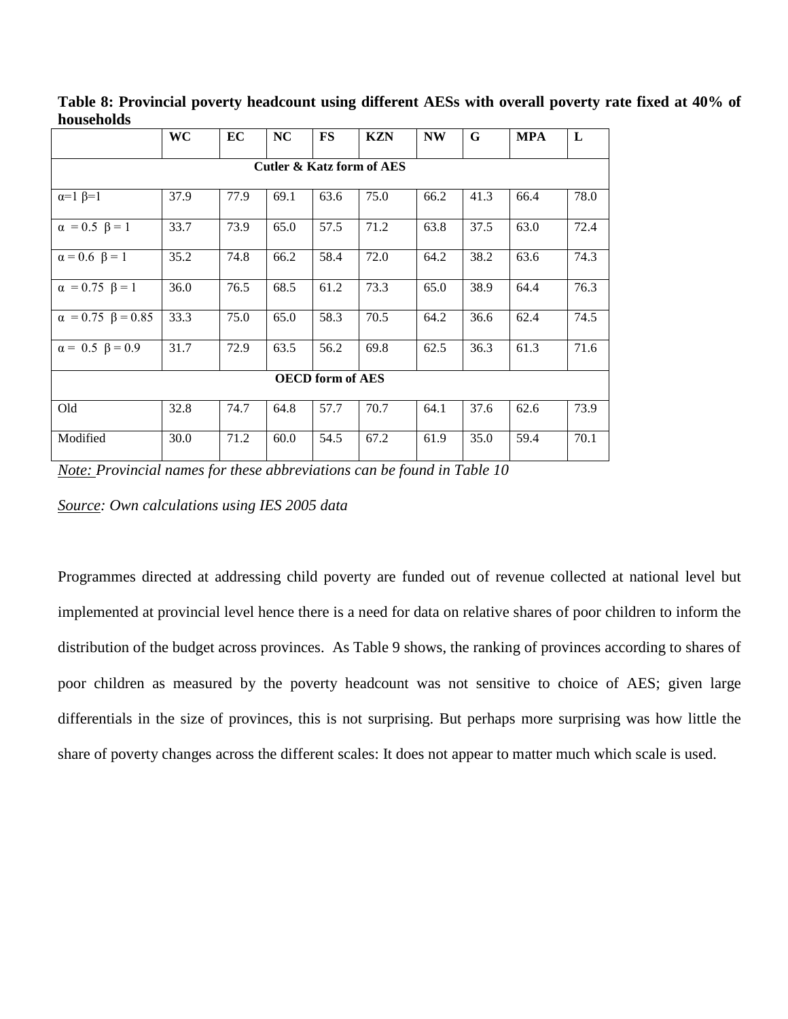|                                | WC   | EC   | <b>NC</b> | <b>FS</b> | <b>KZN</b>                           | <b>NW</b> | G    | <b>MPA</b> | L    |
|--------------------------------|------|------|-----------|-----------|--------------------------------------|-----------|------|------------|------|
|                                |      |      |           |           | <b>Cutler &amp; Katz form of AES</b> |           |      |            |      |
| $\alpha=1$ $\beta=1$           | 37.9 | 77.9 | 69.1      | 63.6      | 75.0                                 | 66.2      | 41.3 | 66.4       | 78.0 |
| $\alpha = 0.5 \ \beta = 1$     | 33.7 | 73.9 | 65.0      | 57.5      | 71.2                                 | 63.8      | 37.5 | 63.0       | 72.4 |
| $\alpha = 0.6 \ \beta = 1$     | 35.2 | 74.8 | 66.2      | 58.4      | 72.0                                 | 64.2      | 38.2 | 63.6       | 74.3 |
| $\alpha = 0.75 \ \beta = 1$    | 36.0 | 76.5 | 68.5      | 61.2      | 73.3                                 | 65.0      | 38.9 | 64.4       | 76.3 |
| $\alpha = 0.75 \ \beta = 0.85$ | 33.3 | 75.0 | 65.0      | 58.3      | 70.5                                 | 64.2      | 36.6 | 62.4       | 74.5 |
| $\alpha = 0.5 \ \beta = 0.9$   | 31.7 | 72.9 | 63.5      | 56.2      | 69.8                                 | 62.5      | 36.3 | 61.3       | 71.6 |
| <b>OECD</b> form of AES        |      |      |           |           |                                      |           |      |            |      |
| Old                            | 32.8 | 74.7 | 64.8      | 57.7      | 70.7                                 | 64.1      | 37.6 | 62.6       | 73.9 |
| Modified                       | 30.0 | 71.2 | 60.0      | 54.5      | 67.2                                 | 61.9      | 35.0 | 59.4       | 70.1 |

**Table 8: Provincial poverty headcount using different AESs with overall poverty rate fixed at 40% of households**

*Note: Provincial names for these abbreviations can be found in Table 10*

*Source: Own calculations using IES 2005 data*

Programmes directed at addressing child poverty are funded out of revenue collected at national level but implemented at provincial level hence there is a need for data on relative shares of poor children to inform the distribution of the budget across provinces. As Table 9 shows, the ranking of provinces according to shares of poor children as measured by the poverty headcount was not sensitive to choice of AES; given large differentials in the size of provinces, this is not surprising. But perhaps more surprising was how little the share of poverty changes across the different scales: It does not appear to matter much which scale is used.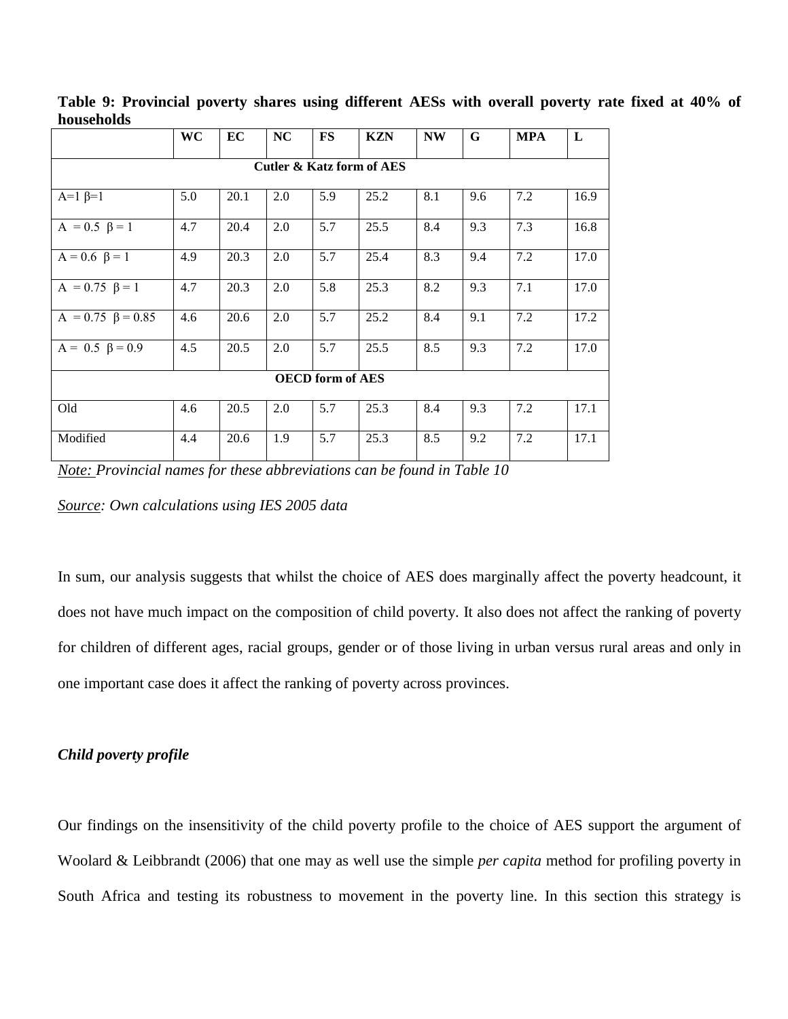|                           | WC  | EC   | <b>NC</b> | FS  | <b>KZN</b>                           | <b>NW</b> | G   | <b>MPA</b> | L    |
|---------------------------|-----|------|-----------|-----|--------------------------------------|-----------|-----|------------|------|
|                           |     |      |           |     | <b>Cutler &amp; Katz form of AES</b> |           |     |            |      |
| $A=1$ $\beta=1$           | 5.0 | 20.1 | 2.0       | 5.9 | 25.2                                 | 8.1       | 9.6 | 7.2        | 16.9 |
| $A = 0.5 \ \beta = 1$     | 4.7 | 20.4 | 2.0       | 5.7 | 25.5                                 | 8.4       | 9.3 | 7.3        | 16.8 |
| $A = 0.6 \ \beta = 1$     | 4.9 | 20.3 | 2.0       | 5.7 | 25.4                                 | 8.3       | 9.4 | 7.2        | 17.0 |
| $A = 0.75 \ \beta = 1$    | 4.7 | 20.3 | 2.0       | 5.8 | 25.3                                 | 8.2       | 9.3 | 7.1        | 17.0 |
| $A = 0.75 \ \beta = 0.85$ | 4.6 | 20.6 | 2.0       | 5.7 | 25.2                                 | 8.4       | 9.1 | 7.2        | 17.2 |
| $A = 0.5 \ \beta = 0.9$   | 4.5 | 20.5 | 2.0       | 5.7 | 25.5                                 | 8.5       | 9.3 | 7.2        | 17.0 |
| <b>OECD</b> form of AES   |     |      |           |     |                                      |           |     |            |      |
| Old                       | 4.6 | 20.5 | 2.0       | 5.7 | 25.3                                 | 8.4       | 9.3 | 7.2        | 17.1 |
| Modified                  | 4.4 | 20.6 | 1.9       | 5.7 | 25.3                                 | 8.5       | 9.2 | 7.2        | 17.1 |

**Table 9: Provincial poverty shares using different AESs with overall poverty rate fixed at 40% of households** 

*Note: Provincial names for these abbreviations can be found in Table 10*

*Source: Own calculations using IES 2005 data*

In sum, our analysis suggests that whilst the choice of AES does marginally affect the poverty headcount, it does not have much impact on the composition of child poverty. It also does not affect the ranking of poverty for children of different ages, racial groups, gender or of those living in urban versus rural areas and only in one important case does it affect the ranking of poverty across provinces.

# *Child poverty profile*

Our findings on the insensitivity of the child poverty profile to the choice of AES support the argument of Woolard & Leibbrandt (2006) that one may as well use the simple *per capita* method for profiling poverty in South Africa and testing its robustness to movement in the poverty line. In this section this strategy is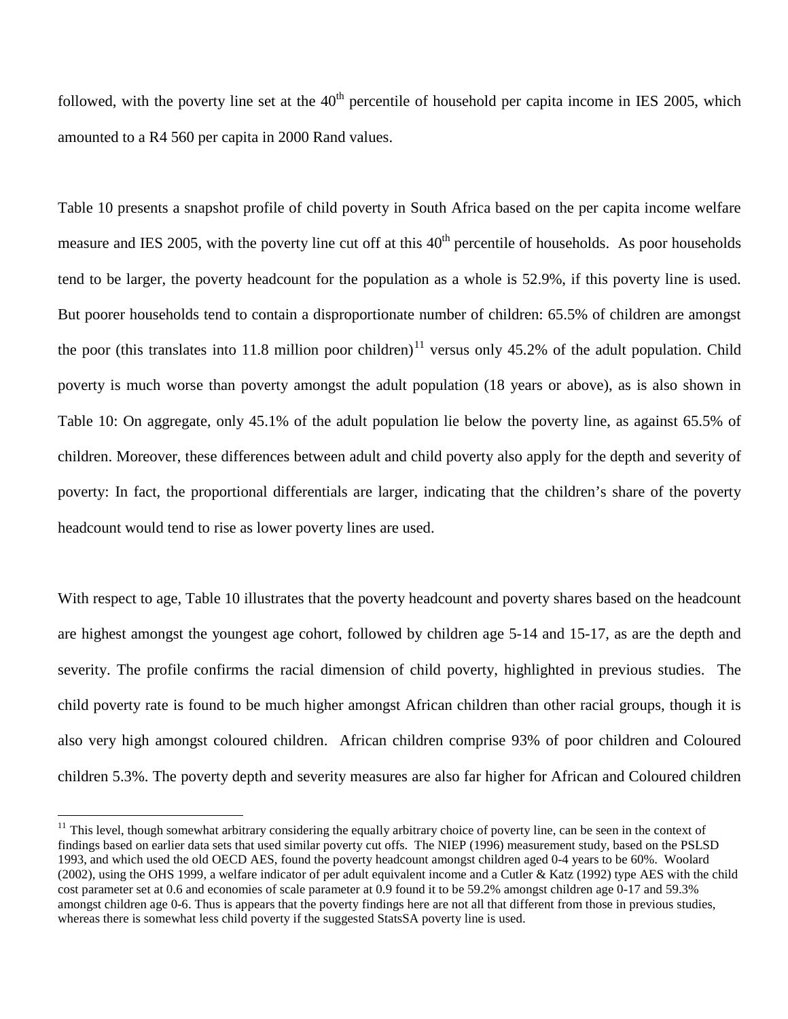followed, with the poverty line set at the  $40<sup>th</sup>$  percentile of household per capita income in IES 2005, which amounted to a R4 560 per capita in 2000 Rand values.

Table 10 presents a snapshot profile of child poverty in South Africa based on the per capita income welfare measure and IES 2005, with the poverty line cut off at this 40<sup>th</sup> percentile of households. As poor households tend to be larger, the poverty headcount for the population as a whole is 52.9%, if this poverty line is used. But poorer households tend to contain a disproportionate number of children: 65.5% of children are amongst the poor (this translates into [11](#page-34-0).8 million poor children)<sup>11</sup> versus only 45.2% of the adult population. Child poverty is much worse than poverty amongst the adult population (18 years or above), as is also shown in Table 10: On aggregate, only 45.1% of the adult population lie below the poverty line, as against 65.5% of children. Moreover, these differences between adult and child poverty also apply for the depth and severity of poverty: In fact, the proportional differentials are larger, indicating that the children's share of the poverty headcount would tend to rise as lower poverty lines are used.

With respect to age, Table 10 illustrates that the poverty headcount and poverty shares based on the headcount are highest amongst the youngest age cohort, followed by children age 5-14 and 15-17, as are the depth and severity. The profile confirms the racial dimension of child poverty, highlighted in previous studies. The child poverty rate is found to be much higher amongst African children than other racial groups, though it is also very high amongst coloured children. African children comprise 93% of poor children and Coloured children 5.3%. The poverty depth and severity measures are also far higher for African and Coloured children

<span id="page-34-0"></span><sup>&</sup>lt;sup>11</sup> This level, though somewhat arbitrary considering the equally arbitrary choice of poverty line, can be seen in the context of findings based on earlier data sets that used similar poverty cut offs. The NIEP (1996) measurement study, based on the PSLSD 1993, and which used the old OECD AES, found the poverty headcount amongst children aged 0-4 years to be 60%. Woolard  $(2002)$ , using the OHS 1999, a welfare indicator of per adult equivalent income and a Cutler & Katz (1992) type AES with the child cost parameter set at 0.6 and economies of scale parameter at 0.9 found it to be 59.2% amongst children age 0-17 and 59.3% amongst children age 0-6. Thus is appears that the poverty findings here are not all that different from those in previous studies, whereas there is somewhat less child poverty if the suggested StatsSA poverty line is used.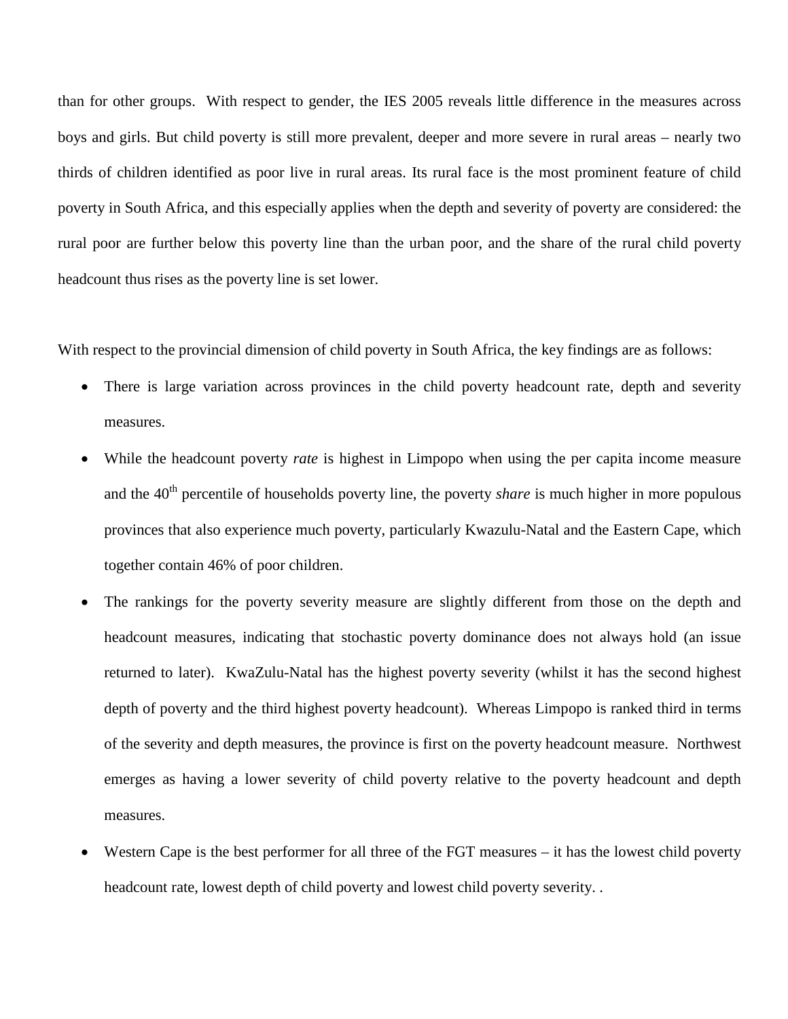than for other groups. With respect to gender, the IES 2005 reveals little difference in the measures across boys and girls. But child poverty is still more prevalent, deeper and more severe in rural areas – nearly two thirds of children identified as poor live in rural areas. Its rural face is the most prominent feature of child poverty in South Africa, and this especially applies when the depth and severity of poverty are considered: the rural poor are further below this poverty line than the urban poor, and the share of the rural child poverty headcount thus rises as the poverty line is set lower.

With respect to the provincial dimension of child poverty in South Africa, the key findings are as follows:

- There is large variation across provinces in the child poverty headcount rate, depth and severity measures.
- While the headcount poverty *rate* is highest in Limpopo when using the per capita income measure and the 40<sup>th</sup> percentile of households poverty line, the poverty *share* is much higher in more populous provinces that also experience much poverty, particularly Kwazulu-Natal and the Eastern Cape, which together contain 46% of poor children.
- The rankings for the poverty severity measure are slightly different from those on the depth and headcount measures, indicating that stochastic poverty dominance does not always hold (an issue returned to later). KwaZulu-Natal has the highest poverty severity (whilst it has the second highest depth of poverty and the third highest poverty headcount). Whereas Limpopo is ranked third in terms of the severity and depth measures, the province is first on the poverty headcount measure. Northwest emerges as having a lower severity of child poverty relative to the poverty headcount and depth measures.
- Western Cape is the best performer for all three of the FGT measures it has the lowest child poverty headcount rate, lowest depth of child poverty and lowest child poverty severity. .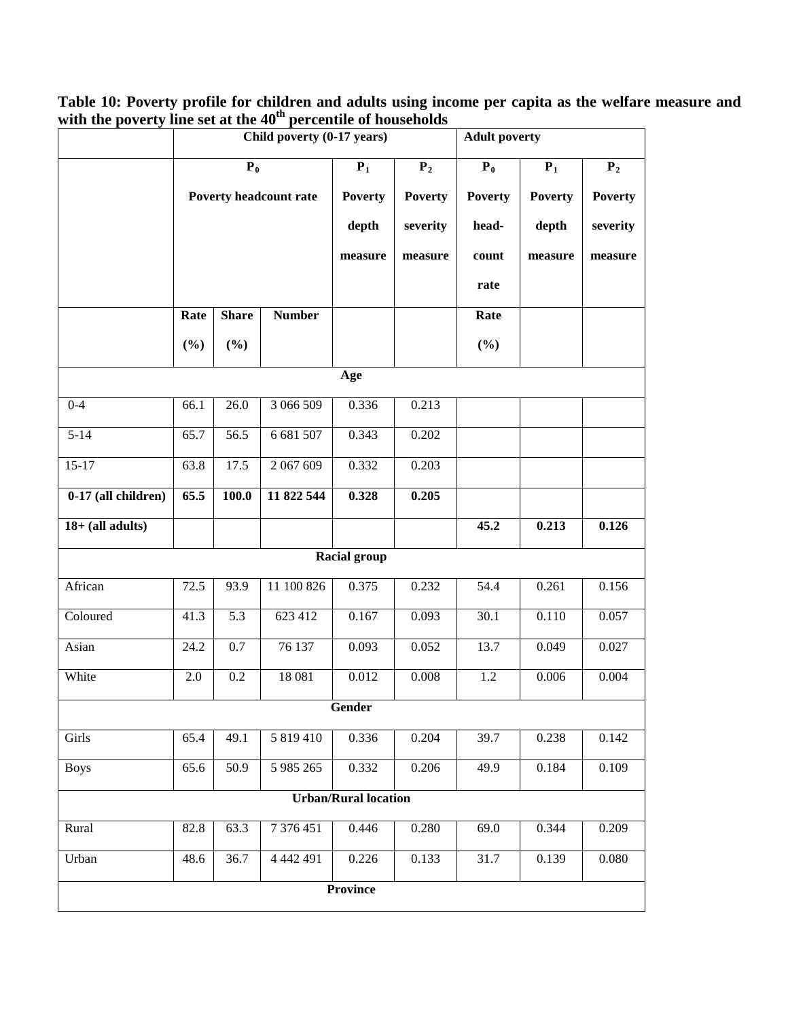| Table 10: Poverty profile for children and adults using income per capita as the welfare measure and |  |  |
|------------------------------------------------------------------------------------------------------|--|--|
| with the poverty line set at the $40th$ percentile of households                                     |  |  |

|                             | Child poverty (0-17 years) |                  |                        |                |                | <b>Adult poverty</b> |                |                |  |  |  |  |
|-----------------------------|----------------------------|------------------|------------------------|----------------|----------------|----------------------|----------------|----------------|--|--|--|--|
|                             | $P_0$                      |                  |                        | $P_1$          | P <sub>2</sub> | $P_0$                | $P_1$          | $P_2$          |  |  |  |  |
|                             |                            |                  | Poverty headcount rate | <b>Poverty</b> | <b>Poverty</b> | <b>Poverty</b>       | <b>Poverty</b> | <b>Poverty</b> |  |  |  |  |
|                             |                            |                  |                        | depth          | severity       | head-                | depth          | severity       |  |  |  |  |
|                             |                            |                  |                        | measure        | measure        | count                | measure        | measure        |  |  |  |  |
|                             |                            |                  |                        |                |                | rate                 |                |                |  |  |  |  |
|                             | Rate                       | <b>Share</b>     | <b>Number</b>          |                |                | Rate                 |                |                |  |  |  |  |
|                             | $(\%)$                     | (%)              |                        |                |                | (%)                  |                |                |  |  |  |  |
| Age                         |                            |                  |                        |                |                |                      |                |                |  |  |  |  |
| $0 - 4$                     | 66.1                       | 26.0             | 3 066 509              | 0.336          | 0.213          |                      |                |                |  |  |  |  |
| $5 - 14$                    | 65.7                       | 56.5             | 6 681 507              | 0.343          | 0.202          |                      |                |                |  |  |  |  |
| $15-17$                     | 63.8                       | 17.5             | 2 067 609              | 0.332          | 0.203          |                      |                |                |  |  |  |  |
| 0-17 (all children)         | 65.5                       | 100.0            | 11 822 544             | 0.328          | 0.205          |                      |                |                |  |  |  |  |
| $18+$ (all adults)          |                            |                  |                        |                |                | 45.2                 | 0.213          | 0.126          |  |  |  |  |
| <b>Racial group</b>         |                            |                  |                        |                |                |                      |                |                |  |  |  |  |
| African                     | 72.5                       | 93.9             | 11 100 826             | 0.375          | 0.232          | 54.4                 | 0.261          | 0.156          |  |  |  |  |
|                             |                            |                  |                        |                |                |                      |                |                |  |  |  |  |
| Coloured                    | 41.3                       | 5.3              | 623 412                | 0.167          | 0.093          | $\overline{30.1}$    | 0.110          | 0.057          |  |  |  |  |
| Asian                       | 24.2                       | 0.7              | 76 137                 | 0.093          | 0.052          | 13.7                 | 0.049          | 0.027          |  |  |  |  |
| White                       | $2.0\,$                    | $\overline{0.2}$ | 18 08 1                | 0.012          | 0.008          | $\overline{1.2}$     | 0.006          | 0.004          |  |  |  |  |
| Gender                      |                            |                  |                        |                |                |                      |                |                |  |  |  |  |
| Girls                       | 65.4                       | 49.1             | 5 819 410              | 0.336          | 0.204          | 39.7                 | 0.238          | 0.142          |  |  |  |  |
| <b>Boys</b>                 | 65.6                       | 50.9             | 5 985 265              | 0.332          | 0.206          | 49.9                 | 0.184          | 0.109          |  |  |  |  |
| <b>Urban/Rural location</b> |                            |                  |                        |                |                |                      |                |                |  |  |  |  |
| Rural                       | 82.8                       | 63.3             | 7 376 451              | 0.446          | 0.280          | 69.0                 | 0.344          | 0.209          |  |  |  |  |
| Urban                       | 48.6                       | 36.7             | 4 4 4 2 4 9 1          | 0.226          | 0.133          | 31.7                 | 0.139          | 0.080          |  |  |  |  |
| <b>Province</b>             |                            |                  |                        |                |                |                      |                |                |  |  |  |  |
|                             |                            |                  |                        |                |                |                      |                |                |  |  |  |  |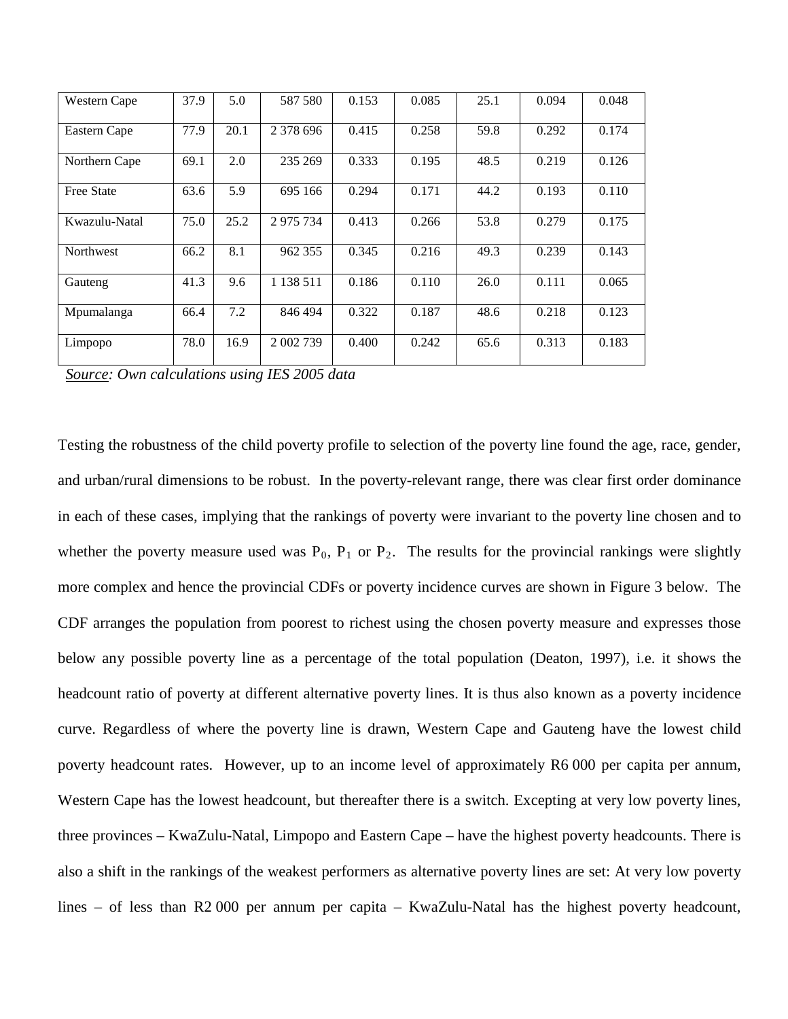| Western Cape      | 37.9 | 5.0  | 587 580   | 0.153 | 0.085 | 25.1 | 0.094 | 0.048 |
|-------------------|------|------|-----------|-------|-------|------|-------|-------|
| Eastern Cape      | 77.9 | 20.1 | 2 378 696 | 0.415 | 0.258 | 59.8 | 0.292 | 0.174 |
| Northern Cape     | 69.1 | 2.0  | 235 269   | 0.333 | 0.195 | 48.5 | 0.219 | 0.126 |
| <b>Free State</b> | 63.6 | 5.9  | 695 166   | 0.294 | 0.171 | 44.2 | 0.193 | 0.110 |
| Kwazulu-Natal     | 75.0 | 25.2 | 2 975 734 | 0.413 | 0.266 | 53.8 | 0.279 | 0.175 |
| <b>Northwest</b>  | 66.2 | 8.1  | 962 355   | 0.345 | 0.216 | 49.3 | 0.239 | 0.143 |
| Gauteng           | 41.3 | 9.6  | 1 138 511 | 0.186 | 0.110 | 26.0 | 0.111 | 0.065 |
| Mpumalanga        | 66.4 | 7.2  | 846 494   | 0.322 | 0.187 | 48.6 | 0.218 | 0.123 |
| Limpopo           | 78.0 | 16.9 | 2 002 739 | 0.400 | 0.242 | 65.6 | 0.313 | 0.183 |

*Source: Own calculations using IES 2005 data*

Testing the robustness of the child poverty profile to selection of the poverty line found the age, race, gender, and urban/rural dimensions to be robust. In the poverty-relevant range, there was clear first order dominance in each of these cases, implying that the rankings of poverty were invariant to the poverty line chosen and to whether the poverty measure used was  $P_0$ ,  $P_1$  or  $P_2$ . The results for the provincial rankings were slightly more complex and hence the provincial CDFs or poverty incidence curves are shown in Figure 3 below. The CDF arranges the population from poorest to richest using the chosen poverty measure and expresses those below any possible poverty line as a percentage of the total population (Deaton, 1997), i.e. it shows the headcount ratio of poverty at different alternative poverty lines. It is thus also known as a poverty incidence curve. Regardless of where the poverty line is drawn, Western Cape and Gauteng have the lowest child poverty headcount rates. However, up to an income level of approximately R6 000 per capita per annum, Western Cape has the lowest headcount, but thereafter there is a switch. Excepting at very low poverty lines, three provinces – KwaZulu-Natal, Limpopo and Eastern Cape – have the highest poverty headcounts. There is also a shift in the rankings of the weakest performers as alternative poverty lines are set: At very low poverty lines – of less than R2 000 per annum per capita – KwaZulu-Natal has the highest poverty headcount,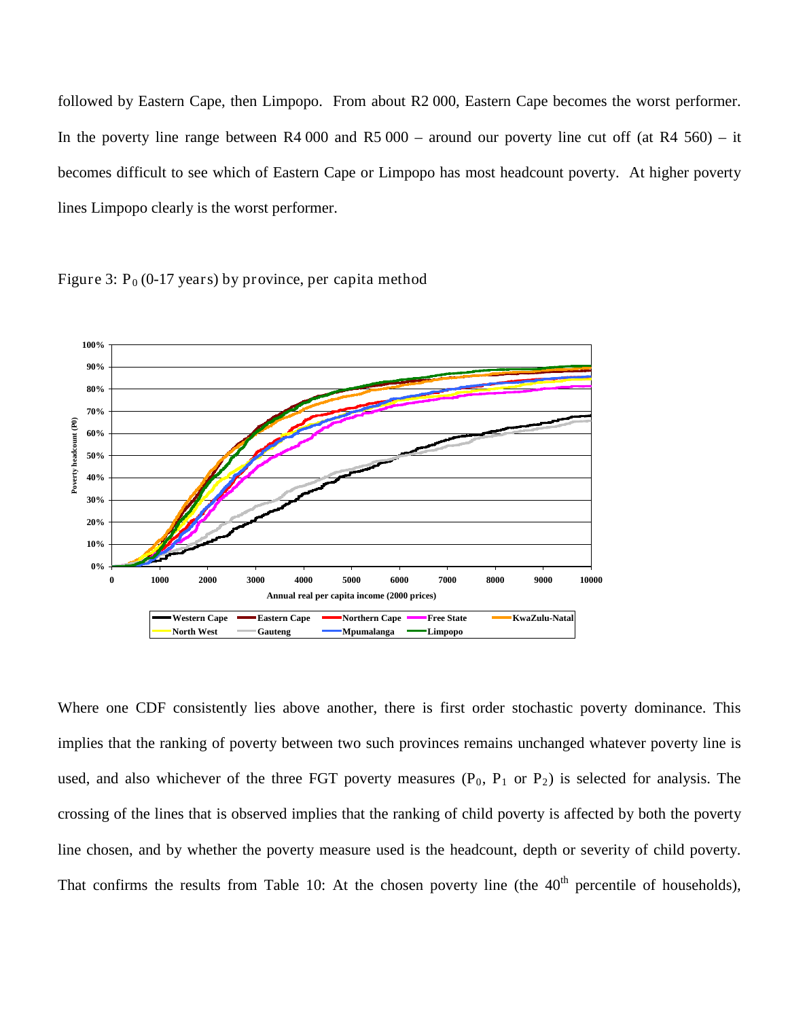followed by Eastern Cape, then Limpopo. From about R2 000, Eastern Cape becomes the worst performer. In the poverty line range between  $R4\,000$  and  $R5\,000$  – around our poverty line cut off (at  $R4\,560$ ) – it becomes difficult to see which of Eastern Cape or Limpopo has most headcount poverty. At higher poverty lines Limpopo clearly is the worst performer.





Where one CDF consistently lies above another, there is first order stochastic poverty dominance. This implies that the ranking of poverty between two such provinces remains unchanged whatever poverty line is used, and also whichever of the three FGT poverty measures  $(P_0, P_1 \text{ or } P_2)$  is selected for analysis. The crossing of the lines that is observed implies that the ranking of child poverty is affected by both the poverty line chosen, and by whether the poverty measure used is the headcount, depth or severity of child poverty. That confirms the results from Table 10: At the chosen poverty line (the 40<sup>th</sup> percentile of households),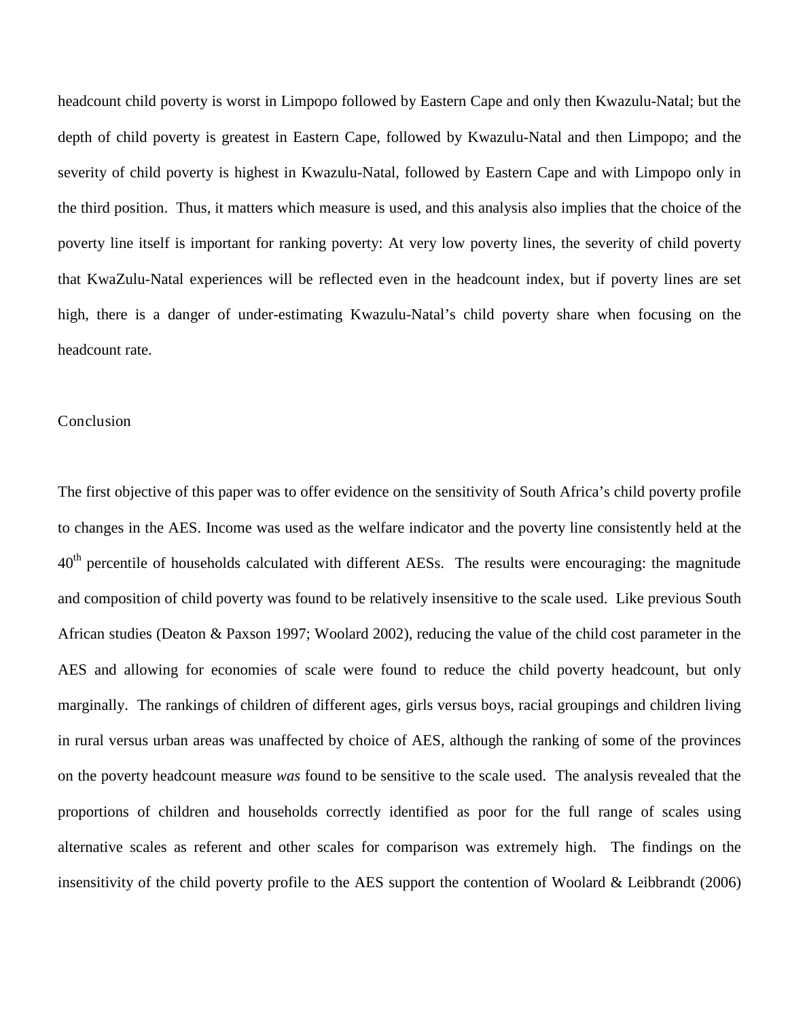headcount child poverty is worst in Limpopo followed by Eastern Cape and only then Kwazulu-Natal; but the depth of child poverty is greatest in Eastern Cape, followed by Kwazulu-Natal and then Limpopo; and the severity of child poverty is highest in Kwazulu-Natal, followed by Eastern Cape and with Limpopo only in the third position. Thus, it matters which measure is used, and this analysis also implies that the choice of the poverty line itself is important for ranking poverty: At very low poverty lines, the severity of child poverty that KwaZulu-Natal experiences will be reflected even in the headcount index, but if poverty lines are set high, there is a danger of under-estimating Kwazulu-Natal's child poverty share when focusing on the headcount rate.

## Conclusion

The first objective of this paper was to offer evidence on the sensitivity of South Africa's child poverty profile to changes in the AES. Income was used as the welfare indicator and the poverty line consistently held at the 40<sup>th</sup> percentile of households calculated with different AESs. The results were encouraging: the magnitude and composition of child poverty was found to be relatively insensitive to the scale used. Like previous South African studies (Deaton & Paxson 1997; Woolard 2002), reducing the value of the child cost parameter in the AES and allowing for economies of scale were found to reduce the child poverty headcount, but only marginally. The rankings of children of different ages, girls versus boys, racial groupings and children living in rural versus urban areas was unaffected by choice of AES, although the ranking of some of the provinces on the poverty headcount measure *was* found to be sensitive to the scale used. The analysis revealed that the proportions of children and households correctly identified as poor for the full range of scales using alternative scales as referent and other scales for comparison was extremely high. The findings on the insensitivity of the child poverty profile to the AES support the contention of Woolard & Leibbrandt (2006)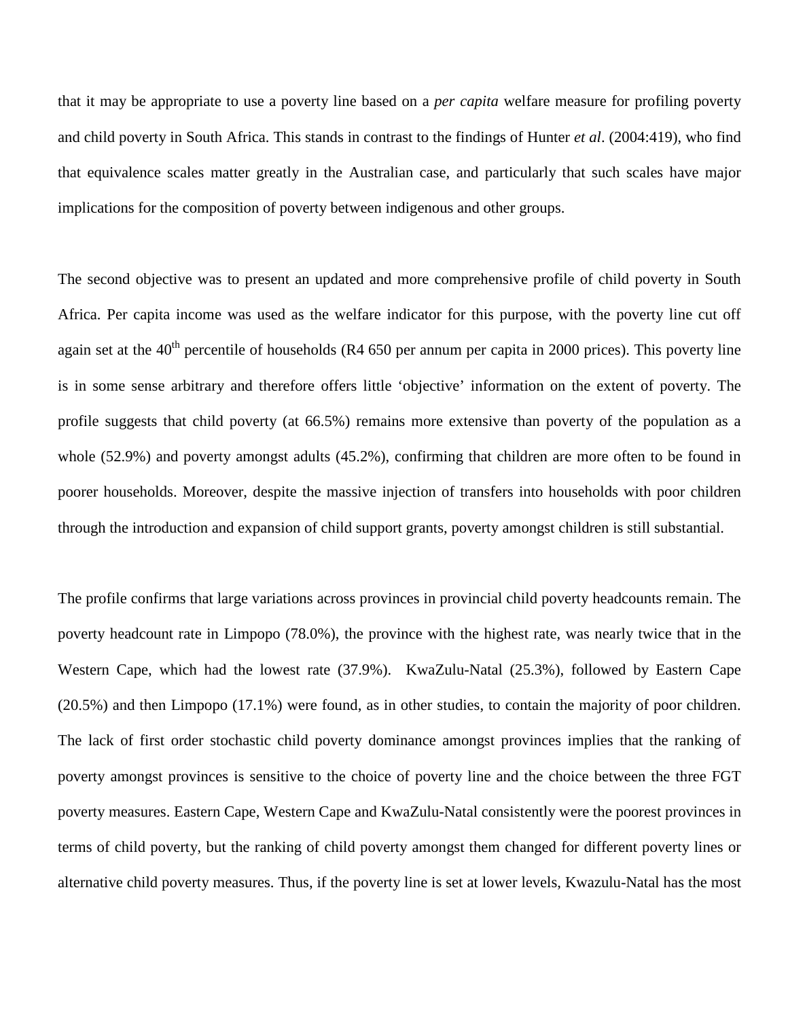that it may be appropriate to use a poverty line based on a *per capita* welfare measure for profiling poverty and child poverty in South Africa. This stands in contrast to the findings of Hunter *et al*. (2004:419), who find that equivalence scales matter greatly in the Australian case, and particularly that such scales have major implications for the composition of poverty between indigenous and other groups.

The second objective was to present an updated and more comprehensive profile of child poverty in South Africa. Per capita income was used as the welfare indicator for this purpose, with the poverty line cut off again set at the  $40<sup>th</sup>$  percentile of households (R4 650 per annum per capita in 2000 prices). This poverty line is in some sense arbitrary and therefore offers little 'objective' information on the extent of poverty. The profile suggests that child poverty (at 66.5%) remains more extensive than poverty of the population as a whole (52.9%) and poverty amongst adults (45.2%), confirming that children are more often to be found in poorer households. Moreover, despite the massive injection of transfers into households with poor children through the introduction and expansion of child support grants, poverty amongst children is still substantial.

The profile confirms that large variations across provinces in provincial child poverty headcounts remain. The poverty headcount rate in Limpopo (78.0%), the province with the highest rate, was nearly twice that in the Western Cape, which had the lowest rate (37.9%). KwaZulu-Natal (25.3%), followed by Eastern Cape (20.5%) and then Limpopo (17.1%) were found, as in other studies, to contain the majority of poor children. The lack of first order stochastic child poverty dominance amongst provinces implies that the ranking of poverty amongst provinces is sensitive to the choice of poverty line and the choice between the three FGT poverty measures. Eastern Cape, Western Cape and KwaZulu-Natal consistently were the poorest provinces in terms of child poverty, but the ranking of child poverty amongst them changed for different poverty lines or alternative child poverty measures. Thus, if the poverty line is set at lower levels, Kwazulu-Natal has the most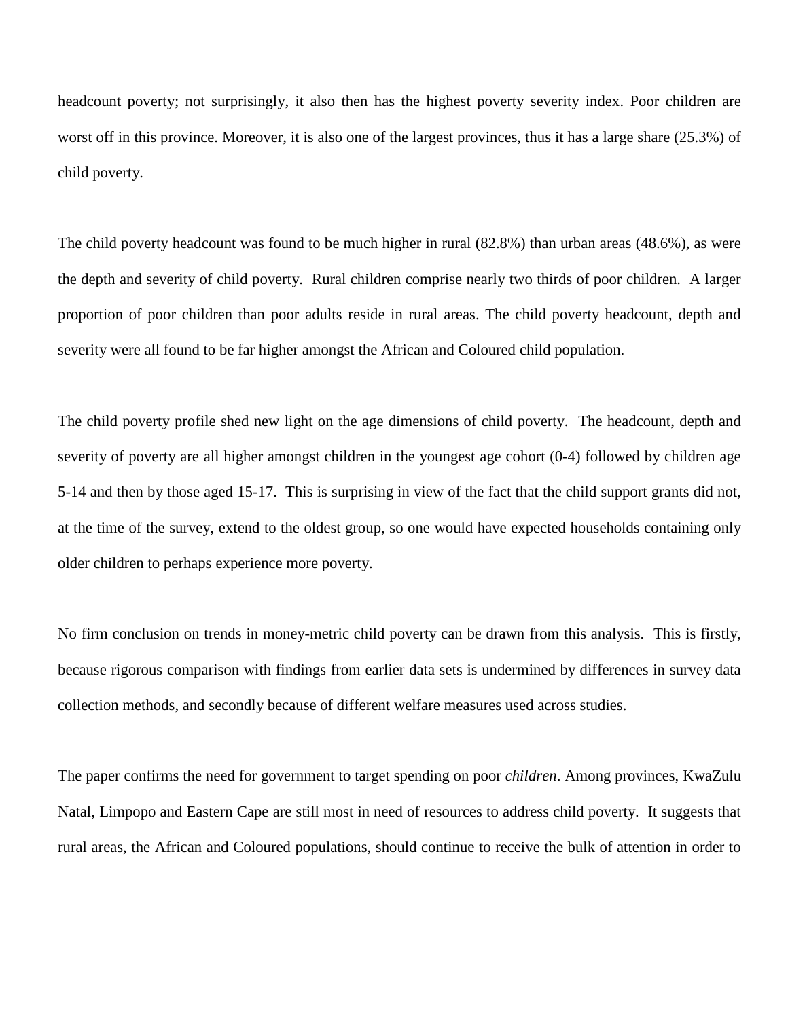headcount poverty; not surprisingly, it also then has the highest poverty severity index. Poor children are worst off in this province. Moreover, it is also one of the largest provinces, thus it has a large share (25.3%) of child poverty.

The child poverty headcount was found to be much higher in rural (82.8%) than urban areas (48.6%), as were the depth and severity of child poverty. Rural children comprise nearly two thirds of poor children. A larger proportion of poor children than poor adults reside in rural areas. The child poverty headcount, depth and severity were all found to be far higher amongst the African and Coloured child population.

The child poverty profile shed new light on the age dimensions of child poverty. The headcount, depth and severity of poverty are all higher amongst children in the youngest age cohort (0-4) followed by children age 5-14 and then by those aged 15-17. This is surprising in view of the fact that the child support grants did not, at the time of the survey, extend to the oldest group, so one would have expected households containing only older children to perhaps experience more poverty.

No firm conclusion on trends in money-metric child poverty can be drawn from this analysis. This is firstly, because rigorous comparison with findings from earlier data sets is undermined by differences in survey data collection methods, and secondly because of different welfare measures used across studies.

The paper confirms the need for government to target spending on poor *children*. Among provinces, KwaZulu Natal, Limpopo and Eastern Cape are still most in need of resources to address child poverty. It suggests that rural areas, the African and Coloured populations, should continue to receive the bulk of attention in order to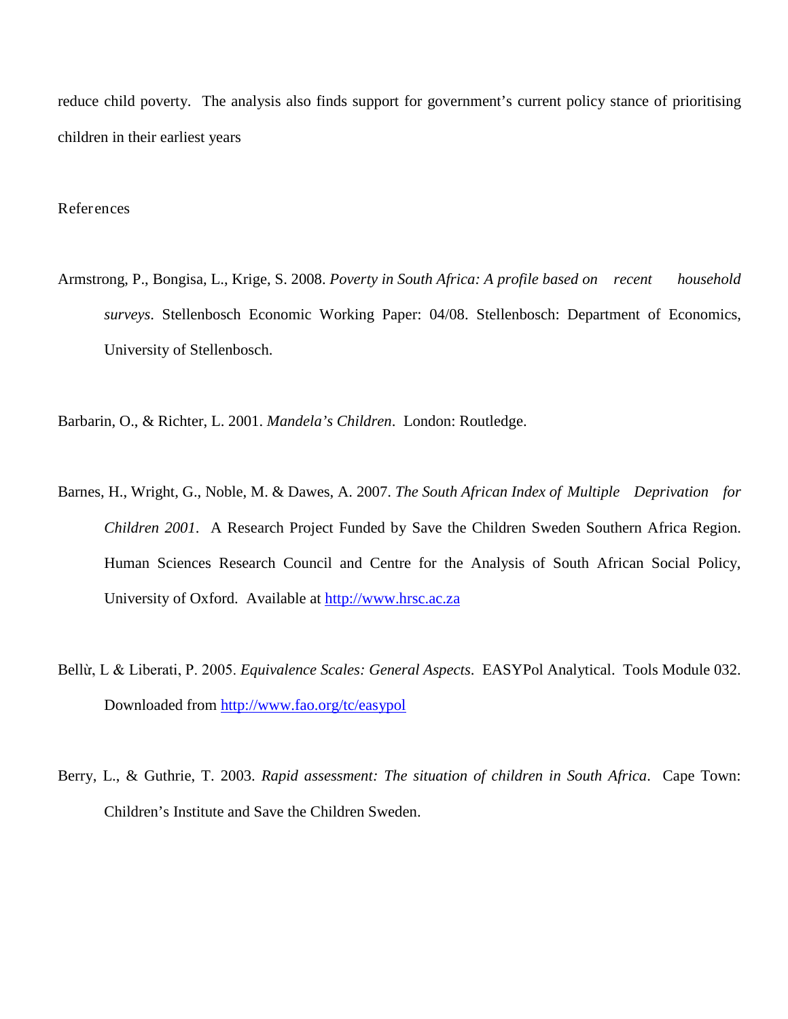reduce child poverty. The analysis also finds support for government's current policy stance of prioritising children in their earliest years

### References

Armstrong, P., Bongisa, L., Krige, S. 2008. *Poverty in South Africa: A profile based on recent household surveys*. Stellenbosch Economic Working Paper: 04/08. Stellenbosch: Department of Economics, University of Stellenbosch.

Barbarin, O., & Richter, L. 2001. *Mandela's Children*. London: Routledge.

- Barnes, H., Wright, G., Noble, M. & Dawes, A. 2007. *The South African Index of Multiple Deprivation for Children 2001*. A Research Project Funded by Save the Children Sweden Southern Africa Region. Human Sciences Research Council and Centre for the Analysis of South African Social Policy, University of Oxford. Available at [http://www.hrsc.ac.za](http://www.hrsc.ac.za/)
- Bellừ, L & Liberati, P. 2005. *Equivalence Scales: General Aspects*. EASYPol Analytical. Tools Module 032. Downloaded from<http://www.fao.org/tc/easypol>
- Berry, L., & Guthrie, T. 2003. *Rapid assessment: The situation of children in South Africa*. Cape Town: Children's Institute and Save the Children Sweden.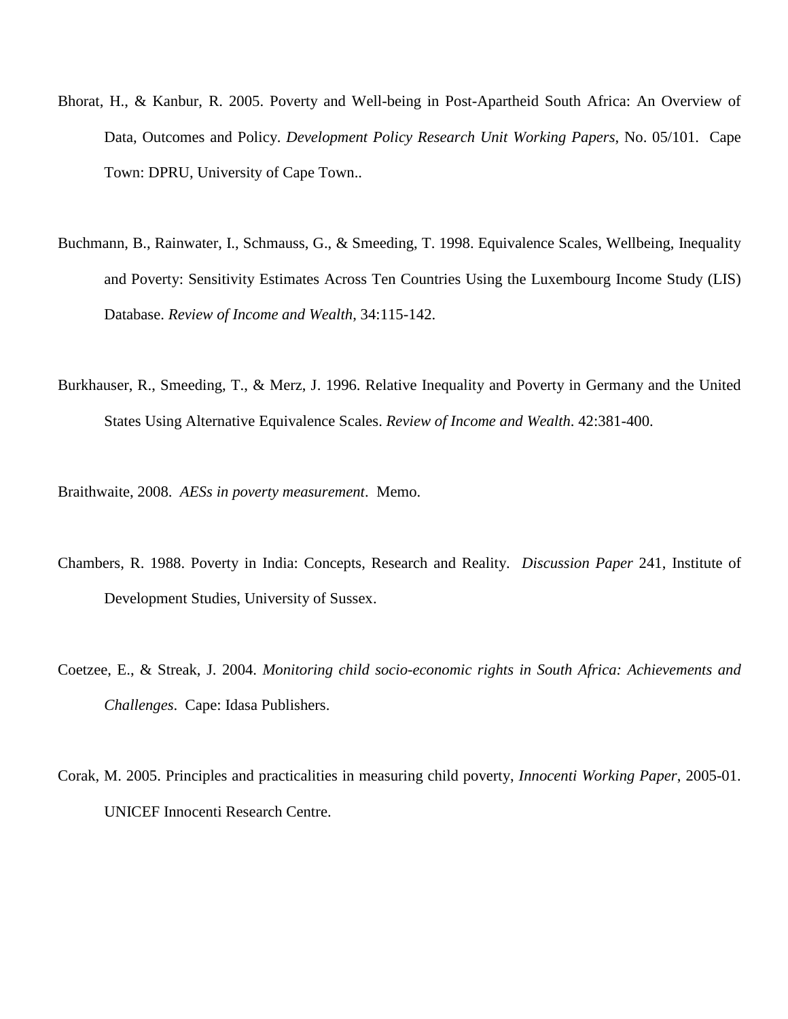- Bhorat, H., & Kanbur, R. 2005. Poverty and Well-being in Post-Apartheid South Africa: An Overview of Data, Outcomes and Policy. *Development Policy Research Unit Working Papers*, No. 05/101. Cape Town: DPRU, University of Cape Town..
- Buchmann, B., Rainwater, I., Schmauss, G., & Smeeding, T. 1998. Equivalence Scales, Wellbeing, Inequality and Poverty: Sensitivity Estimates Across Ten Countries Using the Luxembourg Income Study (LIS) Database. *Review of Income and Wealth*, 34:115-142.
- Burkhauser, R., Smeeding, T., & Merz, J. 1996. Relative Inequality and Poverty in Germany and the United States Using Alternative Equivalence Scales. *Review of Income and Wealth*. 42:381-400.

Braithwaite, 2008. *AESs in poverty measurement*. Memo.

- Chambers, R. 1988. Poverty in India: Concepts, Research and Reality. *Discussion Paper* 241, Institute of Development Studies, University of Sussex.
- Coetzee, E., & Streak, J. 2004. *Monitoring child socio-economic rights in South Africa: Achievements and Challenges*. Cape: Idasa Publishers.
- Corak, M. 2005. Principles and practicalities in measuring child poverty, *Innocenti Working Paper*, 2005-01. UNICEF Innocenti Research Centre.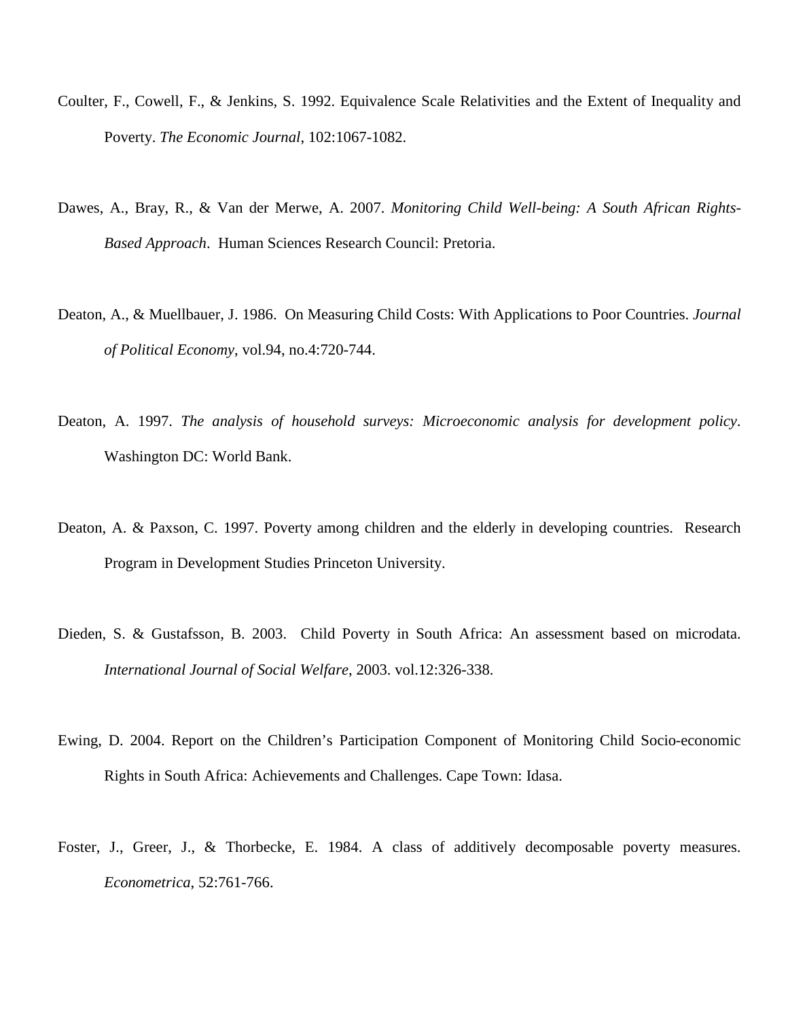- Coulter, F., Cowell, F., & Jenkins, S. 1992. Equivalence Scale Relativities and the Extent of Inequality and Poverty. *The Economic Journal*, 102:1067-1082.
- Dawes, A., Bray, R., & Van der Merwe, A. 2007. *Monitoring Child Well-being: A South African Rights-Based Approach*. Human Sciences Research Council: Pretoria.
- Deaton, A., & Muellbauer, J. 1986. On Measuring Child Costs: With Applications to Poor Countries. *Journal of Political Economy*, vol.94, no.4:720-744.
- Deaton, A. 1997. *The analysis of household surveys: Microeconomic analysis for development policy*. Washington DC: World Bank.
- Deaton, A. & Paxson, C. 1997. Poverty among children and the elderly in developing countries. Research Program in Development Studies Princeton University.
- Dieden, S. & Gustafsson, B. 2003. Child Poverty in South Africa: An assessment based on microdata. *International Journal of Social Welfare*, 2003. vol.12:326-338.
- Ewing, D. 2004. Report on the Children's Participation Component of Monitoring Child Socio-economic Rights in South Africa: Achievements and Challenges. Cape Town: Idasa.
- Foster, J., Greer, J., & Thorbecke, E. 1984. A class of additively decomposable poverty measures. *Econometrica*, 52:761-766.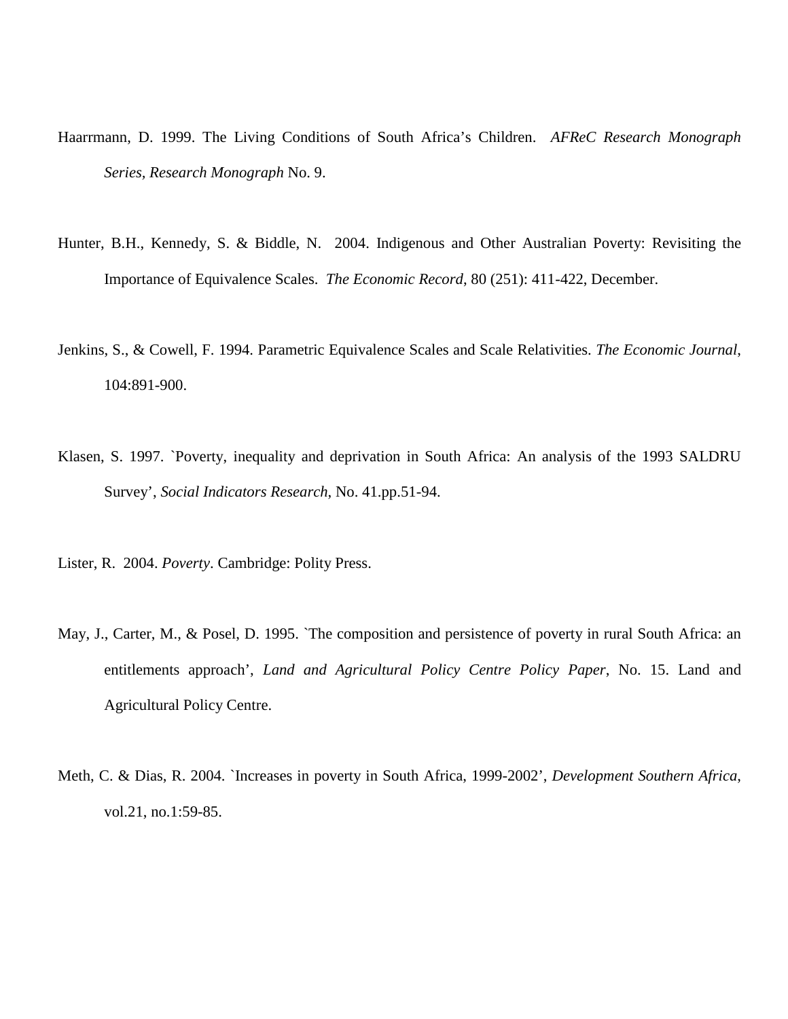- Haarrmann, D. 1999. The Living Conditions of South Africa's Children. *AFReC Research Monograph Series, Research Monograph* No. 9.
- Hunter, B.H., Kennedy, S. & Biddle, N. 2004. [Indigenous and Other Australian Poverty: Revisiting the](http://ideas.repec.org/a/bla/ecorec/v80y2004i251p411-422.html)  [Importance of Equivalence Scales.](http://ideas.repec.org/a/bla/ecorec/v80y2004i251p411-422.html) *[The Economic Record](http://ideas.repec.org/s/bla/ecorec.html)*, 80 (251): 411-422, December.
- Jenkins, S., & Cowell, F. 1994. Parametric Equivalence Scales and Scale Relativities. *The Economic Journal*, 104:891-900.
- Klasen, S. 1997. `Poverty, inequality and deprivation in South Africa: An analysis of the 1993 SALDRU Survey', *Social Indicators Research*, No. 41.pp.51-94.
- Lister, R. 2004. *Poverty*. Cambridge: Polity Press.
- May, J., Carter, M., & Posel, D. 1995. `The composition and persistence of poverty in rural South Africa: an entitlements approach', *Land and Agricultural Policy Centre Policy Paper*, No. 15. Land and Agricultural Policy Centre.
- Meth, C. & Dias, R. 2004. `Increases in poverty in South Africa, 1999-2002', *Development Southern Africa*, vol.21, no.1:59-85.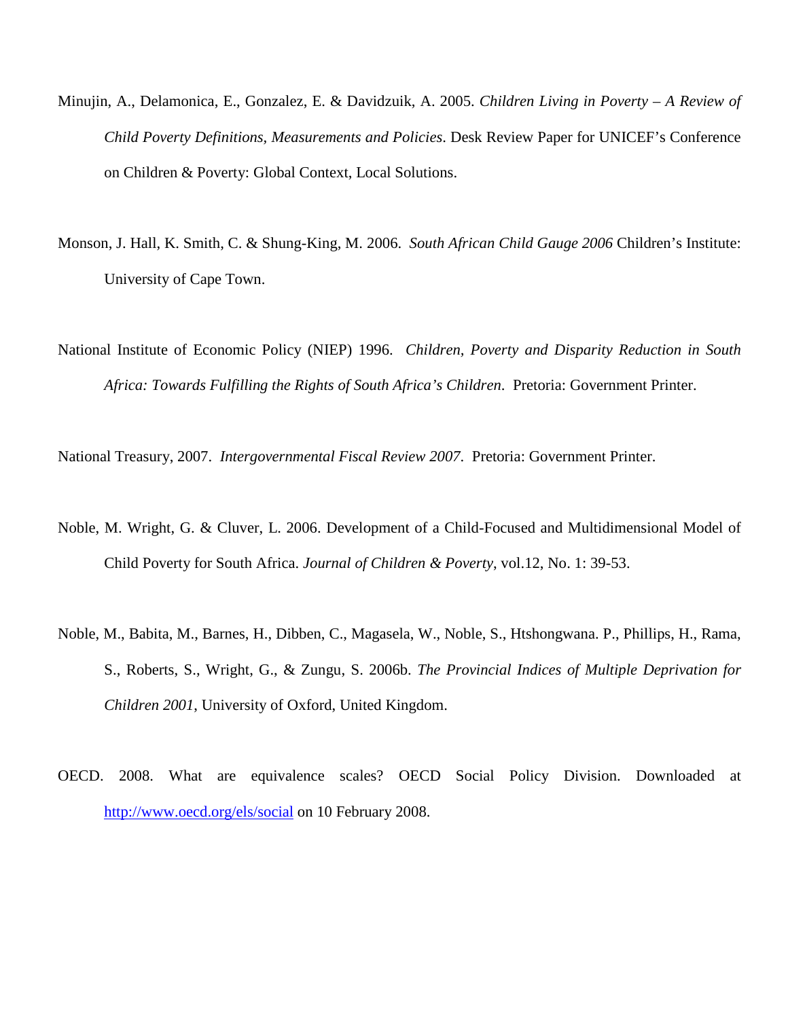- Minujin, A., Delamonica, E., Gonzalez, E. & Davidzuik, A. 2005. *Children Living in Poverty – A Review of Child Poverty Definitions, Measurements and Policies*. Desk Review Paper for UNICEF's Conference on Children & Poverty: Global Context, Local Solutions.
- Monson, J. Hall, K. Smith, C. & Shung-King, M. 2006. *South African Child Gauge 2006* Children's Institute: University of Cape Town.
- National Institute of Economic Policy (NIEP) 1996. *Children, Poverty and Disparity Reduction in South Africa: Towards Fulfilling the Rights of South Africa's Children*. Pretoria: Government Printer.

National Treasury, 2007. *Intergovernmental Fiscal Review 2007*. Pretoria: Government Printer.

- Noble, M. Wright, G. & Cluver, L. 2006. Development of a Child-Focused and Multidimensional Model of Child Poverty for South Africa. *Journal of Children & Poverty*, vol.12, No. 1: 39-53.
- Noble, M., Babita, M., Barnes, H., Dibben, C., Magasela, W., Noble, S., Htshongwana. P., Phillips, H., Rama, S., Roberts, S., Wright, G., & Zungu, S. 2006b. *The Provincial Indices of Multiple Deprivation for Children 2001*, University of Oxford, United Kingdom.
- OECD. 2008. What are equivalence scales? OECD Social Policy Division. Downloaded at <http://www.oecd.org/els/social> on 10 February 2008.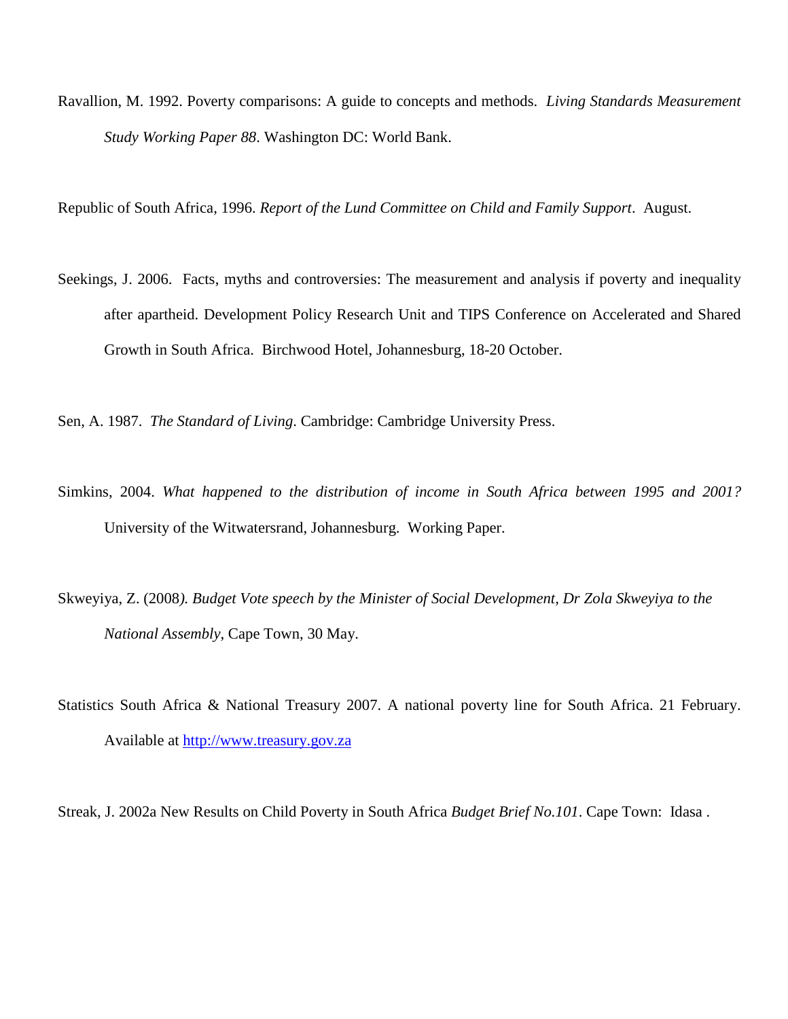Ravallion, M. 1992. Poverty comparisons: A guide to concepts and methods. *Living Standards Measurement Study Working Paper 88*. Washington DC: World Bank.

Republic of South Africa, 1996. *Report of the Lund Committee on Child and Family Support*. August.

Seekings, J. 2006. Facts, myths and controversies: The measurement and analysis if poverty and inequality after apartheid. Development Policy Research Unit and TIPS Conference on Accelerated and Shared Growth in South Africa. Birchwood Hotel, Johannesburg, 18-20 October.

Sen, A. 1987. *The Standard of Living*. Cambridge: Cambridge University Press.

- Simkins, 2004. *What happened to the distribution of income in South Africa between 1995 and 2001?* University of the Witwatersrand, Johannesburg. Working Paper.
- Skweyiya, Z. (2008*). Budget Vote speech by the Minister of Social Development, Dr Zola Skweyiya to the National Assembly*, Cape Town, 30 May.
- Statistics South Africa & National Treasury 2007. A national poverty line for South Africa. 21 February. Available at [http://www.treasury.gov.za](http://www.treasury.gov.za/)

Streak, J. 2002a New Results on Child Poverty in South Africa *Budget Brief No.101*. Cape Town: Idasa .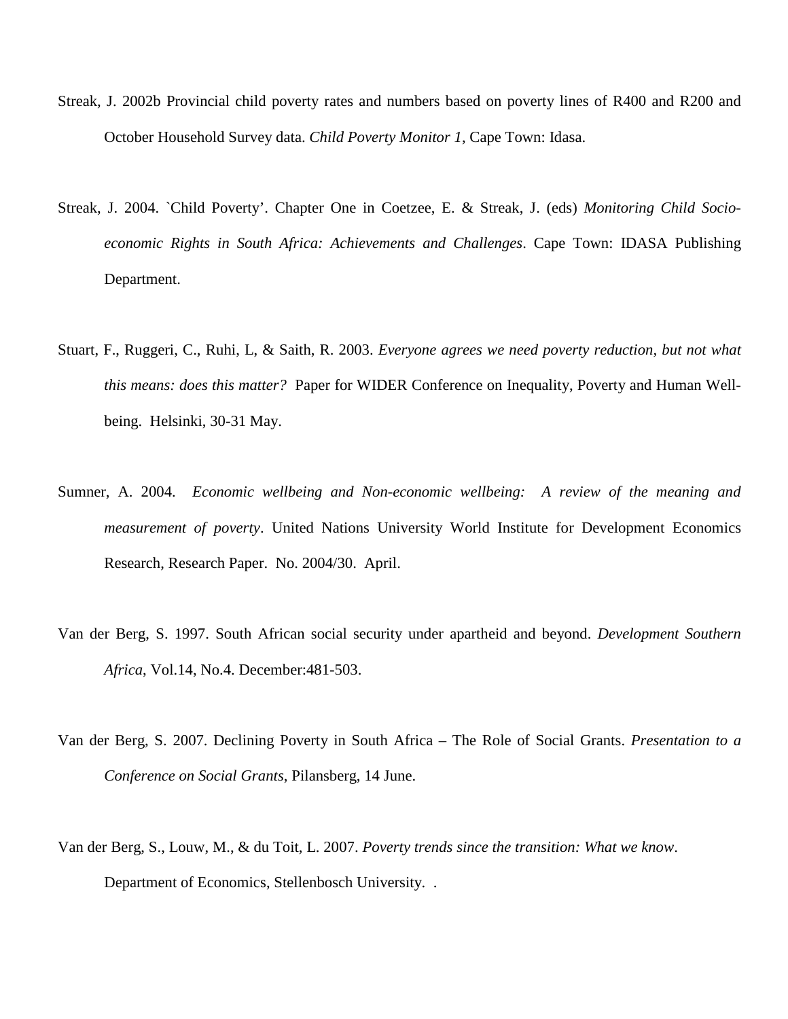- Streak, J. 2002b Provincial child poverty rates and numbers based on poverty lines of R400 and R200 and October Household Survey data. *Child Poverty Monitor 1*, Cape Town: Idasa.
- Streak, J. 2004. `Child Poverty'. Chapter One in Coetzee, E. & Streak, J. (eds) *Monitoring Child Socioeconomic Rights in South Africa: Achievements and Challenges*. Cape Town: IDASA Publishing Department.
- Stuart, F., Ruggeri, C., Ruhi, L, & Saith, R. 2003. *Everyone agrees we need poverty reduction, but not what this means: does this matter?* Paper for WIDER Conference on Inequality, Poverty and Human Wellbeing. Helsinki, 30-31 May.
- Sumner, A. 2004. *Economic wellbeing and Non-economic wellbeing: A review of the meaning and measurement of poverty*. United Nations University World Institute for Development Economics Research, Research Paper. No. 2004/30. April.
- Van der Berg, S. 1997. South African social security under apartheid and beyond. *Development Southern Africa*, Vol.14, No.4. December:481-503.
- Van der Berg, S. 2007. Declining Poverty in South Africa The Role of Social Grants. *Presentation to a Conference on Social Grants*, Pilansberg, 14 June.
- Van der Berg, S., Louw, M., & du Toit, L. 2007. *Poverty trends since the transition: What we know*. Department of Economics, Stellenbosch University. .